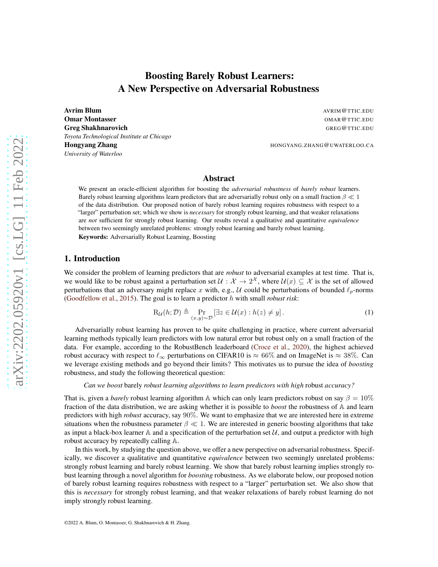# Boosting Barely Robust Learners: A New Perspective on Adversarial Robustness

**Avrim Blum** Avril **Blum** AVRIM **Blum** AVRIM **Blum** AVRIM **Blum AVRIM <b>Blum AVRIM Blum AVRIM Blum Omar Montasser COMAR AND STREET ASSESSMENT ASSESSMENT AND A STREET ASSESSMENT AND A STREET ASSESSMENT AND A STREET ASSESSMENT AND A STREET ASSESSMENT AND A STREET ASSESSMENT AND A STREET ASSESSMENT AND A STREET ASSESSMENT** Greg Shakhnarovich GREG@TTIC.EDU *Toyota Technological Institute at Chicago* Hongyang Zhang HONGYANG.ZHANG@UWATERLOO.CA *University of Waterloo*

## Abstract

We present an oracle-efficient algorithm for boosting the *adversarial robustness* of *barely robust* learners. Barely robust learning algorithms learn predictors that are adversarially robust only on a small fraction  $\beta \ll 1$ of the data distribution. Our proposed notion of barely robust learning requires robustness with respect to a "larger" perturbation set; which we show is *necessary* for strongly robust learning, and that weaker relaxations are *not* sufficient for strongly robust learning. Our results reveal a qualitative and quantitative *equivalence* between two seemingly unrelated problems: strongly robust learning and barely robust learning. Keywords: Adversarially Robust Learning, Boosting

## <span id="page-0-1"></span>1. Introduction

We consider the problem of learning predictors that are *robust* to adversarial examples at test time. That is, we would like to be robust against a perturbation set  $\mathcal{U}: \mathcal{X} \to 2^{\mathcal{X}}$ , where  $\mathcal{U}(x) \subseteq \mathcal{X}$  is the set of allowed perturbations that an adversary might replace x with, e.g., U could be perturbations of bounded  $\ell_p$ -norms (Goodfellow et al., 2015). The goal is to learn a predictor h with small *robust risk*:

<span id="page-0-0"></span>
$$
R_{\mathcal{U}}(h; \mathcal{D}) \triangleq \Pr_{(x, y) \sim \mathcal{D}} \left[ \exists z \in \mathcal{U}(x) : h(z) \neq y \right]. \tag{1}
$$

Adversarially robust learning has proven to be quite challenging in practice, where current adversarial learning methods typically learn predictors with low natural error but robust only on a small fraction of the data. For example, according to the RobustBench leaderboard [\(Croce et al.,](#page-13-0) [2020](#page-13-0)), the highest achieved robust accuracy with respect to  $\ell_{\infty}$  perturbations on CIFAR10 is  $\approx 66\%$  and on ImageNet is  $\approx 38\%$ . Can we leverage existing methods and go beyond their limits? This motivates us to pursue the idea of *boosting* robustness, and study the following theoretical question:

*Can we boost* barely *robust learning algorithms to learn predictors with high* robust *accuracy?*

That is, given a *barely* robust learning algorithm A which can only learn predictors robust on say  $\beta = 10\%$ fraction of the data distribution, we are asking whether it is possible to *boost* the robustness of A and learn predictors with high *robust* accuracy, say 90%. We want to emphasize that we are interested here in extreme situations when the robustness parameter  $\beta \ll 1$ . We are interested in generic boosting algorithms that take as input a black-box learner  $\mathbb A$  and a specification of the perturbation set  $\mathcal U$ , and output a predictor with high robust accuracy by repeatedly calling A.

In this work, by studying the question above, we offer a new perspective on adversarial robustness. Specifically, we discover a qualitative and quantitative *equivalence* between two seemingly unrelated problems: strongly robust learning and barely robust learning. We show that barely robust learning implies strongly robust learning through a novel algorithm for *boosting* robustness. As we elaborate below, our proposed notion of barely robust learning requires robustness with respect to a "larger" perturbation set. We also show that this is *necessary* for strongly robust learning, and that weaker relaxations of barely robust learning do not imply strongly robust learning.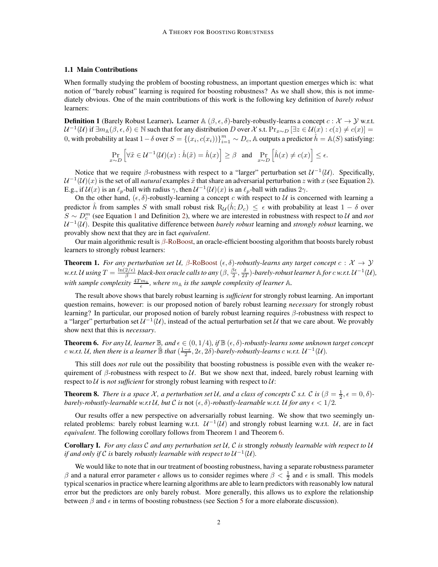#### 1.1 Main Contributions

When formally studying the problem of boosting robustness, an important question emerges which is: what notion of "barely robust" learning is required for boosting robustness? As we shall show, this is not immediately obvious. One of the main contributions of this work is the following key definition of *barely robust* learners:

<span id="page-1-0"></span>**Definition 1** (Barely Robust Learner). Learner  $\mathbb{A}(\beta, \epsilon, \delta)$ -barely-robustly-learns a concept  $c : \mathcal{X} \to \mathcal{Y}$  w.r.t.  $\mathcal{U}^{-1}(\mathcal{U})$  if  $\exists m_{\mathbb{A}}(\beta,\epsilon,\delta) \in \mathbb{N}$  such that for any distribution D over X s.t.  $\Pr_{x \sim D} [\exists z \in \mathcal{U}(x) : c(z) \neq c(x)]$ 0, with probability at least  $1-\delta$  over  $S = \{(x_i, c(x_i))\}_{i=1}^m \sim D_c$ , A outputs a predictor  $\hat{h} = \mathbb{A}(S)$  satisfying:

$$
\Pr_{x \sim D} \left[ \forall \tilde{x} \in \mathcal{U}^{-1}(\mathcal{U})(x) : \hat{h}(\tilde{x}) = \hat{h}(x) \right] \ge \beta \quad \text{and} \quad \Pr_{x \sim D} \left[ \hat{h}(x) \neq c(x) \right] \le \epsilon.
$$

Notice that we require  $\beta$ -robustness with respect to a "larger" perturbation set  $\mathcal{U}^{-1}(\mathcal{U})$ . Specifically,  $\mathcal{U}^{-1}(\mathcal{U})(x)$  is the set of all *natural* examples  $\tilde{x}$  that share an adversarial perturbation z with x (see Equation [2\)](#page-3-0). E.g., if  $\mathcal{U}(x)$  is an  $\ell_p$ -ball with radius  $\gamma$ , then  $\mathcal{U}^{-1}(\mathcal{U})(x)$  is an  $\ell_p$ -ball with radius  $2\gamma$ .

On the other hand,  $(\epsilon, \delta)$ -robustly-learning a concept c with respect to U is concerned with learning a predictor  $\hat{h}$  from samples S with small robust risk  $R_{\mathcal{U}}(\hat{h}; D_c) \leq \epsilon$  with probability at least  $1 - \delta$  over  $S \sim D_c^m$  (see Equation [1](#page-0-0) and Definition [2\)](#page-3-1), where we are interested in robustness with respect to U and *not*  $U^{-1}(\mathcal{U})$ . Despite this qualitative difference between *barely robust* learning and *strongly robust* learning, we provably show next that they are in fact *equivalent*.

Our main algorithmic result is  $\beta$ [-RoBoost,](#page-3-2) an oracle-efficient boosting algorithm that boosts barely robust learners to strongly robust learners:

**Theorem 1.** *For any perturbation set* U,  $\beta$ [-RoBoost](#page-3-2)  $(\epsilon, \delta)$ -robustly-learns any target concept  $c : \mathcal{X} \to \mathcal{Y}$ *w.r.t.* U using  $T = \frac{\ln(2/\epsilon)}{\beta}$  $\frac{2/e}{\beta}$  black-box oracle calls to any  $(\beta, \frac{\beta\epsilon}{2}, \frac{\delta}{2T})$ -barely-robust learner  $\mathbb A$  for  $c$  w.r.t.  $\mathcal U^{-1}(\mathcal U),$ with sample complexity  $\frac{4Tm_A}{\epsilon}$ , where  $m_A$  is the sample complexity of learner  $\mathbb A$ .

The result above shows that barely robust learning is *sufficient* for strongly robust learning. An important question remains, however: is our proposed notion of barely robust learning *necessary* for strongly robust learning? In particular, our proposed notion of barely robust learning requires β-robustness with respect to a "larger" perturbation set  $U^{-1}(U)$ , instead of the actual perturbation set U that we care about. We provably show next that this is *necessary*.

**Theorem 6.** For any U, learner  $\mathbb{B}$ , and  $\epsilon \in (0, 1/4)$ , if  $\mathbb{B}(\epsilon, \delta)$ -robustly-learns some unknown target concept c w.r.t. U, then there is a learner  $\tilde{B}$  that  $(\frac{1-\epsilon}{2},2\epsilon,2\delta)$ -barely-robustly-learns c w.r.t.  $\mathcal{U}^{-1}(\mathcal{U})$ .

This still does *not* rule out the possibility that boosting robustness is possible even with the weaker requirement of  $\beta$ -robustness with respect to U. But we show next that, indeed, barely robust learning with respect to  $U$  is *not sufficient* for strongly robust learning with respect to  $U$ :

**Theorem 8.** *There is a space* X, a perturbation set U, and a class of concepts C s.t. C is  $(\beta = \frac{1}{2}, \epsilon = 0, \delta)$ *barely-robustly-learnable w.r.t*  $\mathcal{U}$ *, but*  $\mathcal{C}$  *is* not  $(\epsilon, \delta)$ -*robustly-learnable w.r.t.*  $\mathcal{U}$  *for any*  $\epsilon < 1/2$ *.* 

Our results offer a new perspective on adversarially robust learning. We show that two seemingly unrelated problems: barely robust learning w.r.t.  $U^{-1}(\mathcal{U})$  and strongly robust learning w.r.t.  $\mathcal{U}$ , are in fact *equivalent*. The following corollary follows from Theorem [1](#page-4-0) and Theorem [6.](#page-9-0)

<span id="page-1-1"></span>Corollary I. *For any class* C *and any perturbation set* U*,* C *is* strongly *robustly learnable with respect to* U *if and only if*  $C$  *is barely robustly learnable with respect to*  $U^{-1}(U)$ *.* 

We would like to note that in our treatment of boosting robustness, having a separate robustness parameter β and a natural error parameter  $\epsilon$  allows us to consider regimes where  $\beta < \frac{1}{2}$  and  $\epsilon$  is small. This models typical scenarios in practice where learning algorithms are able to learn predictors with reasonably low natural error but the predictors are only barely robust. More generally, this allows us to explore the relationship between  $\beta$  and  $\epsilon$  in terms of boosting robustness (see Section [5](#page-12-0) for a more elaborate discussion).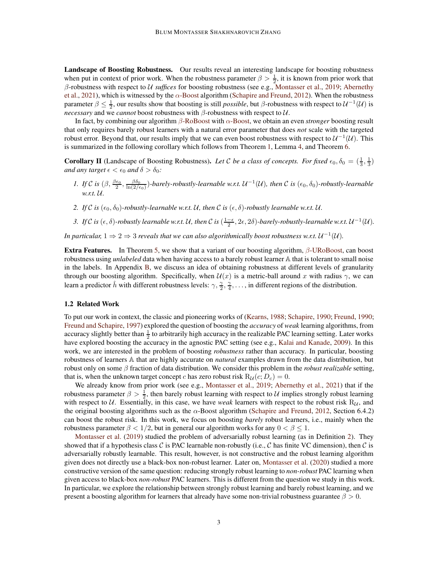Landscape of Boosting Robustness. Our results reveal an interesting landscape for boosting robustness when put in context of prior work. When the robustness parameter  $\beta > \frac{1}{2}$ , it is known from prior work that β-robustness with respect to U *suffices* for boosting robustness (see e.g., [Montasser et al.](#page-14-0), [2019;](#page-14-0) Abernethy et al., 2021), which is witnessed by the  $\alpha$ [-Boost](#page-15-0) algorithm [\(Schapire and Freund,](#page-14-1) [2012](#page-14-1)). When the robustness parameter  $\beta \le \frac{1}{2}$ , our results show that boosting is still *possible*, but  $\beta$ -robustness with respect to  $\mathcal{U}^{-1}(\mathcal{U})$  is *necessary* and we *cannot* boost robustness with β-robustness with respect to U.

In fact, by combining our algorithm β[-RoBoost](#page-3-2) with α[-Boost,](#page-15-0) we obtain an even *stronger* boosting result that only requires barely robust learners with a natural error parameter that does *not* scale with the targeted robust error. Beyond that, our results imply that we can even boost robustness with respect to  $U^{-1}(\mathcal{U})$ . This is summarized in the following corollary which follows from Theorem [1,](#page-4-0) Lemma [4,](#page-7-0) and Theorem [6.](#page-9-0)

**Corollary II** (Landscape of Boosting Robustness). Let C be a class of concepts. For fixed  $\epsilon_0, \delta_0 = (\frac{1}{3}, \frac{1}{3})$ *and any target*  $\epsilon < \epsilon_0$  *and*  $\delta > \delta_0$ *:* 

- *1.* If C is  $(\beta, \frac{\beta \epsilon_0}{2}, \frac{\beta \delta_0}{\ln(2/\epsilon_0)})$ -barely-robustly-learnable w.r.t.  $\mathcal{U}^{-1}(\mathcal{U})$ , then C is  $(\epsilon_0, \delta_0)$ -robustly-learnable *w.r.t.* U*.*
- 2. If C is  $(\epsilon_0, \delta_0)$ -robustly-learnable w.r.t. U, then C is  $(\epsilon, \delta)$ -robustly learnable w.r.t. U.
- 3. If C is  $(\epsilon, \delta)$ -robustly learnable w.r.t. U, then C is  $(\frac{1-\epsilon}{2}, 2\epsilon, 2\delta)$ -barely-robustly-learnable w.r.t.  $\mathcal{U}^{-1}(\mathcal{U})$ .

*In particular,*  $1 \Rightarrow 2 \Rightarrow 3$  *reveals that we can also algorithmically boost robustness w.r.t.*  $U^{-1}(\mathcal{U})$ .

**Extra Features.** In Theorem [5,](#page-8-0) we show that a variant of our boosting algorithm,  $\beta$ [-URoBoost,](#page-8-1) can boost robustness using *unlabeled* data when having access to a barely robust learner A that is tolerant to small noise in the labels. In Appendix [B,](#page-16-0) we discuss an idea of obtaining robustness at different levels of granularity through our boosting algorithm. Specifically, when  $\mathcal{U}(x)$  is a metric-ball around x with radius  $\gamma$ , we can learn a predictor  $\hat{h}$  with different robustness levels:  $\gamma$ ,  $\frac{\gamma}{2}$ ,  $\frac{\gamma}{4}$ , ..., in different regions of the distribution.

#### <span id="page-2-0"></span>1.2 Related Work

To put our work in context, the classic and pioneering works of [\(Kearns,](#page-14-2) [1988;](#page-14-2) Schapire, 1990; Freund, 1990; Freund and Schapire, 1997) explored the question of boosting the *accuracy* of *weak* learning algorithms, from accuracy slightly better than  $\frac{1}{2}$  to arbitrarily high accuracy in the realizable PAC learning setting. Later works have explored boosting the accuracy in the agnostic PAC setting (see e.g., Kalai and Kanade, 2009). In this work, we are interested in the problem of boosting *robustness* rather than accuracy. In particular, boosting robustness of learners A that are highly accurate on *natural* examples drawn from the data distribution, but robust only on some β fraction of data distribution. We consider this problem in the *robust realizable* setting, that is, when the unknown target concept c has zero robust risk  $R_U(c; D_c) = 0$ .

We already know from prior work (see e.g., [Montasser et al.,](#page-14-0) [2019;](#page-14-0) Abernethy et al., 2021) that if the robustness parameter  $\beta > \frac{1}{2}$ , then barely robust learning with respect to U implies strongly robust learning with respect to  $U$ . Essentially, in this case, we have *weak* learners with respect to the robust risk  $R_U$ , and the original boosting algorithms such as the  $\alpha$ -Boost algorithm [\(Schapire and Freund](#page-14-1), [2012,](#page-14-1) Section 6.4.2) can boost the robust risk. In this work, we focus on boosting *barely* robust learners, i.e., mainly when the [robustness paramete](#page-14-0)r  $\beta < 1/2$ , but in general our algorithm works for any  $0 < \beta \leq 1$ .

Montasser et al. [\(2019\)](#page-14-0) studied the problem of adversarially robust learning (as in Definition [2\)](#page-3-1). They showed that if a hypothesis class C is PAC learnable non-robustly (i.e., C has finite VC dimension), then C is adversarially robustly learnable. This result, however, is not constructive and the robust learning algorithm given does not directly use a black-box non-robust learner. Later on, Montasser et al. (2020) studied a more constructive version of the same question: reducing strongly robust learning to *non-robust* PAC learning when given access to black-box *non-robust* PAC learners. This is different from the question we study in this work. In particular, we explore the relationship between strongly robust learning and barely robust learning, and we present a boosting algorithm for learners that already have some non-trivial robustness guarantee  $\beta > 0$ .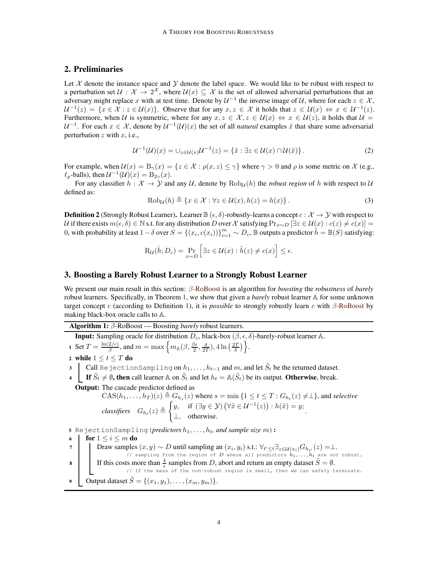## 2. Preliminaries

Let  $X$  denote the instance space and  $Y$  denote the label space. We would like to be robust with respect to a perturbation set  $\mathcal{U}: \mathcal{X} \to 2^{\mathcal{X}}$ , where  $\mathcal{U}(x) \subseteq \mathcal{X}$  is the set of allowed adversarial perturbations that an adversary might replace x with at test time. Denote by  $U^{-1}$  the inverse image of U, where for each  $z \in \mathcal{X}$ ,  $\mathcal{U}^{-1}(z) = \{x \in \mathcal{X} : z \in \mathcal{U}(x)\}\$ . Observe that for any  $x, z \in \mathcal{X}$  it holds that  $z \in \mathcal{U}(x) \Leftrightarrow x \in \mathcal{U}^{-1}(z)$ . Furthermore, when U is symmetric, where for any  $x, z \in \mathcal{X}, z \in \mathcal{U}(x) \Leftrightarrow x \in \mathcal{U}(z)$ , it holds that  $\mathcal{U} =$  $\mathcal{U}^{-1}$ . For each  $x \in \mathcal{X}$ , denote by  $\mathcal{U}^{-1}(\mathcal{U})(x)$  the set of all *natural* examples  $\tilde{x}$  that share some adversarial perturbation  $z$  with  $x$ , i.e.,

<span id="page-3-0"></span>
$$
\mathcal{U}^{-1}(\mathcal{U})(x) = \bigcup_{z \in \mathcal{U}(x)} \mathcal{U}^{-1}(z) = \{ \tilde{x} : \exists z \in \mathcal{U}(x) \cap \mathcal{U}(\tilde{x}) \}.
$$
 (2)

For example, when  $\mathcal{U}(x) = B_{\gamma}(x) = \{z \in \mathcal{X} : \rho(x, z) \leq \gamma\}$  where  $\gamma > 0$  and  $\rho$  is some metric on X (e.g.,  $\ell_p$ -balls), then  $\mathcal{U}^{-1}(\mathcal{U})(x) = B_{2\gamma}(x)$ .

<span id="page-3-3"></span>For any classifier  $h : \mathcal{X} \to \mathcal{Y}$  and any U, denote by  $\text{Rob}_{\mathcal{U}}(h)$  the *robust region* of h with respect to U defined as:

$$
Robu(h) \triangleq \{x \in \mathcal{X} : \forall z \in \mathcal{U}(x), h(z) = h(x)\}.
$$
\n(3)

<span id="page-3-1"></span>**Definition 2** (Strongly Robust Learner). Learner  $\mathbb{B}(\epsilon, \delta)$ -robustly-learns a concept  $c : \mathcal{X} \to \mathcal{Y}$  with respect to U if there exists  $m(\epsilon, \delta) \in \mathbb{N}$  s.t. for any distribution D over X satisfying  $\Pr_{x \sim D} [\exists z \in \mathcal{U}(x) : c(z) \neq c(x)]$ 0, with probability at least  $1-\delta$  over  $S = \{(x_i, c(x_i))\}_{i=1}^m \sim D_c$ ,  $\mathbb B$  outputs a predictor  $\hat h = \mathbb B(S)$  satisfying:

$$
\mathrm{R}_{\mathcal{U}}(\hat{h}; D_c) = \Pr_{x \sim D} \left[ \exists z \in \mathcal{U}(x) : \hat{h}(z) \neq c(x) \right] \leq \epsilon.
$$

## <span id="page-3-4"></span>3. Boosting a Barely Robust Learner to a Strongly Robust Learner

We present our main result in this section: β[-RoBoost](#page-3-2) is an algorithm for *boosting* the *robustness* of *barely* robust learners. Specifically, in Theorem [1,](#page-4-0) we show that given a *barely* robust learner A for some unknown target concept c (according to Definition [1\)](#page-1-0), it is *possible* to strongly robustly learn c with  $\beta$ [-RoBoost](#page-3-2) by making black-box oracle calls to A.

<span id="page-3-2"></span>Algorithm 1: β-RoBoost — Boosting *barely* robust learners.

**Input:** Sampling oracle for distribution  $D_c$ , black-box  $(\beta, \epsilon, \delta)$ -barely-robust learner A. 1 Set  $T = \frac{\ln(2/\epsilon)}{\beta}$  $\frac{2}{\beta}$ , and  $m = \max \left\{ m_{\mathbb{A}}(\beta, \frac{\beta \epsilon}{2}, \frac{\delta}{2T}), 4 \ln \left( \frac{2T}{\delta} \right) \right\}.$ 2 while  $1 \le t \le T$  do 3  $\, \mid \,$  Call RejectionSampling on  $h_1, \ldots, h_{t-1}$  and  $m,$  and let  $\tilde{S}_t$  be the returned dataset. **4** If  $\tilde{S}_t \neq \emptyset$ , then call learner A on  $\tilde{S}_t$  and let  $h_t = \mathbb{A}(\tilde{S}_t)$  be its output. Otherwise, break. Output: The cascade predictor defined as  $\text{CAS}(h_1, \ldots, h_T)(z) \triangleq G_{h_s}(z)$  where  $s = \min\{1 \leq t \leq T : G_{h_t}(z) \neq \perp\}$ , and *selective*  $classifiers \quad G_{h_t}(z) \triangleq$  $\int y$ , if  $(\exists y \in \mathcal{Y}) (\forall \tilde{x} \in \mathcal{U}^{-1}(z)) : h(\tilde{x}) = y$ ;  $\perp$ , otherwise. 5 RejectionSampling(*predictors*  $h_1, \ldots, h_t$ *, and sample size*  $m$ ): 6 for  $1 \leq i \leq m$  do 7 | Draw samples  $(x, y) \sim D$  until sampling an  $(x_i, y_i)$  s.t.:  $\forall_{t' \leq t} \exists_{z \in \mathcal{U}(x_i)} G_{h_{t'}}(z) = \perp$ . // sampling from the region of  $D$  where all predictors  $h_1, \ldots, h_t$  are not robust. 8 If this costs more than  $\frac{4}{\epsilon}$  samples from D, abort and return an empty dataset  $\tilde{S} = \emptyset$ .  $\frac{1}{2}$  is more man  $\frac{1}{6}$  samples from *D*, abort and return an empty dataset  $D = y$ . 9 Output dataset  $\tilde{S} = \{(x_1, y_1), \ldots, (x_m, y_m)\}.$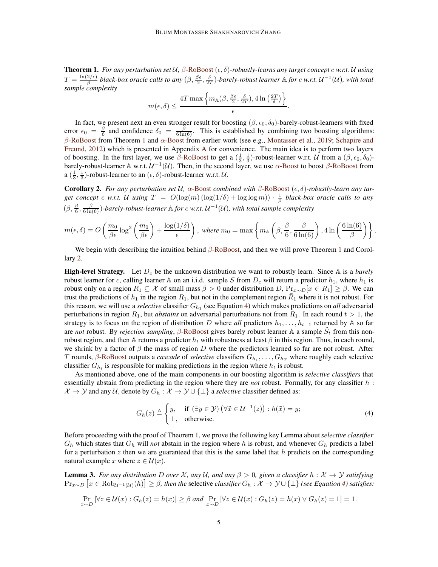<span id="page-4-0"></span>**Theorem 1.** For any perturbation set  $U$ ,  $\beta$ [-RoBoost](#page-3-2)  $(\epsilon, \delta)$ -robustly-learns any target concept c w.r.t. U using  $T = \frac{\ln(2/\epsilon)}{\beta}$  $\frac{2/e}{\beta}$  black-box oracle calls to any  $(\beta, \frac{\beta\epsilon}{2}, \frac{\delta}{2T})$ -barely-robust learner  $\mathbb A$  for  $c$  w.r.t.  $\mathcal U^{-1}(\mathcal U)$ , with total *sample complexity*

$$
m(\epsilon,\delta) \le \frac{4T \max \left\{ m_{\mathbb{A}}(\beta,\frac{\beta\epsilon}{2},\frac{\delta}{2T}), 4 \ln \left(\frac{2T}{\delta}\right) \right\}}{\epsilon}.
$$

In fact, we present next an even stronger result for boosting  $(\beta, \epsilon_0, \delta_0)$ -barely-robust-learners with fixed error  $\epsilon_0 = \frac{\beta}{6}$  and confidence  $\delta_0 = \frac{\beta}{6 \ln(6)}$ . This is established by combining two boosting algorithms: β[-RoBoost](#page-3-2) from Theorem [1](#page-4-0) and  $\alpha$ [-Boost](#page-15-0) [from earlier work \(see e.g.,](#page-14-1) [Montasser et al.](#page-14-0), [2019](#page-14-0); Schapire and Freund, [2012](#page-14-1)) which is presented in Appendix [A](#page-15-1) for convenience. The main idea is to perform two layers of boosting. In the first layer, we use  $\beta$ [-RoBoost](#page-3-2) to get a  $(\frac{1}{3}, \frac{1}{3})$ -robust-learner w.r.t. U from a  $(\beta, \epsilon_0, \delta_0)$ barely-robust-learner  $\mathbb A$  w.r.t.  $\mathcal U^{-1}(\mathcal U)$ . Then, in the second layer, we use  $\alpha$ [-Boost](#page-15-0) to boost  $\beta$ [-RoBoost](#page-3-2) from a  $(\frac{1}{3}, \frac{1}{3})$ -robust-learner to an  $(\epsilon, \delta)$ -robust-learner w.r.t.  $\mathcal{U}$ .

<span id="page-4-1"></span>Corollary 2. *For any perturbation set* U*,* α[-Boost](#page-15-0) *combined with* β[-RoBoost](#page-3-2) (ǫ, δ)*-robustly-learn any tar*get concept c w.r.t. U using  $T = O(\log(m)(\log(1/\delta) + \log \log m)) \cdot \frac{1}{\beta}$  black-box oracle calls to any  $(\beta, \frac{\beta}{6}, \frac{\beta}{6 \ln(6)})$ -barely-robust-learner  $\mathbb A$  for  $c$  *w.r.t.*  $\mathcal U^{-1}(\mathcal U)$ *, with total sample complexity* 

$$
m(\epsilon,\delta) = O\left(\frac{m_0}{\beta \epsilon} \log^2 \left(\frac{m_0}{\beta \epsilon}\right) + \frac{\log(1/\delta)}{\epsilon}\right), \text{ where } m_0 = \max\left\{m_\mathbb{A}\left(\beta, \frac{\beta}{6}, \frac{\beta}{6\ln(6)}\right), 4\ln\left(\frac{6\ln(6)}{\beta}\right)\right\}.
$$

We begin with describing the intuition behind  $\beta$ [-RoBoost,](#page-3-2) and then we will prove Theorem [1](#page-4-0) and Corollary [2.](#page-4-1)

**High-level Strategy.** Let  $D_c$  be the unknown distribution we want to robustly learn. Since A is a *barely* robust learner for c, calling learner A on an i.i.d. sample S from  $D_c$  will return a predictor  $h_1$ , where  $h_1$  is robust only on a region  $R_1 \subseteq \mathcal{X}$  of small mass  $\beta > 0$  under distribution  $D$ ,  $\Pr_{x \sim D}[x \in R_1] \geq \beta$ . We can trust the predictions of  $h_1$  in the region  $R_1$ , but not in the complement region  $\bar{R}_1$  where it is not robust. For this reason, we will use a *selective* classifier  $G_{h_1}$  (see Equation [4\)](#page-4-2) which makes predictions on *all* adversarial perturbations in region  $R_1$ , but *abstains* on adversarial perturbations not from  $R_1$ . In each round  $t > 1$ , the strategy is to focus on the region of distribution D where *all* predictors  $h_1, \ldots, h_{t-1}$  returned by A so far are *not* robust. By *rejection sampling*,  $\beta$ [-RoBoost](#page-3-2) gives barely robust learner A a sample  $\tilde{S}_t$  from this nonrobust region, and then A returns a predictor  $h_t$  with robustness at least  $\beta$  in this region. Thus, in each round, we shrink by a factor of  $\beta$  the mass of region D where the predictors learned so far are not robust. After T rounds,  $\beta$ [-RoBoost](#page-3-2) outputs a *cascade* of *selective* classifiers  $G_{h_1}, \ldots, G_{h_T}$  where roughly each selective classifier  $G_{h_t}$  is responsible for making predictions in the region where  $h_t$  is robust.

As mentioned above, one of the main components in our boosting algorithm is *selective classifiers* that essentially abstain from predicting in the region where they are *not* robust. Formally, for any classifier h :  $\mathcal{X} \to \mathcal{Y}$  and any U, denote by  $G_h : \mathcal{X} \to \mathcal{Y} \cup \{\perp\}$  a *selective* classifier defined as:

<span id="page-4-2"></span>
$$
G_h(z) \triangleq \begin{cases} y, & \text{if } (\exists y \in \mathcal{Y}) \left( \forall \tilde{x} \in \mathcal{U}^{-1}(z) \right) : h(\tilde{x}) = y; \\ \perp, & \text{otherwise.} \end{cases} \tag{4}
$$

Before proceeding with the proof of Theorem [1,](#page-4-0) we prove the following key Lemma about *selective classifier*  $G_h$  which states that  $G_h$  will *not* abstain in the region where h is robust, and whenever  $G_h$  predicts a label for a perturbation  $z$  then we are guaranteed that this is the same label that  $h$  predicts on the corresponding natural example x where  $z \in \mathcal{U}(x)$ .

<span id="page-4-3"></span>**Lemma 3.** *For any distribution* D *over* X, any U, and any  $\beta > 0$ , given a classifier  $h : X \to Y$  satisfying  $\Pr_{x \sim D} [x \in \text{Rob}_{\mathcal{U}^{-1}(\mathcal{U})}(h)] \geq \beta$ , then the selective *classifier*  $G_h : \mathcal{X} \to \mathcal{Y} \cup \{\perp\}$  *(see Equation [4\)](#page-4-2) satisfies:* 

$$
\Pr_{x \sim D} [\forall z \in \mathcal{U}(x) : G_h(z) = h(x)] \ge \beta \text{ and } \Pr_{x \sim D} [\forall z \in \mathcal{U}(x) : G_h(z) = h(x) \vee G_h(z) = \perp] = 1.
$$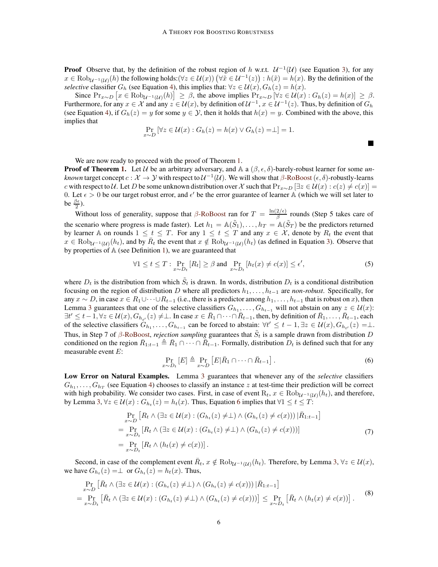**Proof** Observe that, by the definition of the robust region of h w.r.t.  $U^{-1}(U)$  (see Equation [3\)](#page-3-3), for any  $x \in \text{Rob}_{\mathcal{U}^{-1}(\mathcal{U})}(h)$  the following holds: $(\forall z \in \mathcal{U}(x))$   $(\forall \tilde{x} \in \mathcal{U}^{-1}(z))$  :  $h(\tilde{x}) = h(x)$ . By the definition of the *selective* classifier  $G_h$  (see Equation [4\)](#page-4-2), this implies that:  $\forall z \in \mathcal{U}(x)$ ,  $G_h(z) = h(x)$ .

Since  $Pr_{x \sim D} [x \in Rob_{\mathcal{U}^{-1}(\mathcal{U})}(h)] \ge \beta$ , the above implies  $Pr_{x \sim D} [\forall z \in \mathcal{U}(x) : G_h(z) = h(x)] \ge \beta$ . Furthermore, for any  $x \in \mathcal{X}$  and any  $z \in \mathcal{U}(x)$ , by definition of  $\mathcal{U}^{-1}$ ,  $x \in \mathcal{U}^{-1}(z)$ . Thus, by definition of  $G_h$ (see Equation [4\)](#page-4-2), if  $G_h(z) = y$  for some  $y \in Y$ , then it holds that  $h(x) = y$ . Combined with the above, this implies that

$$
\Pr_{x \sim D} [\forall z \in \mathcal{U}(x) : G_h(z) = h(x) \lor G_h(z) = \perp] = 1.
$$

We are now ready to proceed with the proof of Theorem [1.](#page-4-0)

**Proof of Theorem [1.](#page-4-0)** Let U be an arbitrary adversary, and A a  $(\beta, \epsilon, \delta)$ -barely-robust learner for some *unknown* target concept  $c: \mathcal{X} \to \mathcal{Y}$  with respect to  $\mathcal{U}^{-1}(\mathcal{U})$ . We will show that  $\beta$ [-RoBoost](#page-3-2)  $(\epsilon, \delta)$ -robustly-learns c with respect to U. Let D be some unknown distribution over X such that  $\Pr_{x \sim D} [\exists z \in U(x) : c(z) \neq c(x)]$ 0. Let  $\epsilon > 0$  be our target robust error, and  $\epsilon'$  be the error guarantee of learner A (which we will set later to be  $\frac{\beta \epsilon}{2}$ ).

Without loss of generality, suppose that  $\beta$ [-RoBoost](#page-3-2) ran for  $T = \frac{\ln(2/\epsilon)}{\beta}$  $\frac{2}{\beta}$  rounds (Step 5 takes care of the scenario where progress is made faster). Let  $h_1 = \mathbb{A}(\tilde{S}_1), \dots, h_T = \mathbb{A}(\tilde{S}_T)$  be the predictors returned by learner A on rounds  $1 \le t \le T$ . For any  $1 \le t \le T$  and any  $x \in \mathcal{X}$ , denote by  $R_t$  the event that  $x \in \text{Rob}_{\mathcal{U}^{-1}(\mathcal{U})}(h_t)$ , and by  $\bar{R}_t$  the event that  $x \notin \text{Rob}_{\mathcal{U}^{-1}(\mathcal{U})}(h_t)$  (as defined in Equation [3\)](#page-3-3). Observe that by properties of A (see Definition [1\)](#page-1-0), we are guaranteed that

<span id="page-5-3"></span>
$$
\forall 1 \le t \le T : \Pr_{x \sim D_t} [R_t] \ge \beta \text{ and } \Pr_{x \sim D_t} [h_t(x) \neq c(x)] \le \epsilon', \tag{5}
$$

 $\blacksquare$ 

where  $D_t$  is the distribution from which  $\tilde{S}_t$  is drawn. In words, distribution  $D_t$  is a conditional distribution focusing on the region of distribution D where all predictors  $h_1, \ldots, h_{t-1}$  are *non-robust*. Specifically, for any  $x \sim D$ , in case  $x \in R_1 \cup \cdots \cup R_{t-1}$  (i.e., there is a predictor among  $h_1, \ldots, h_{t-1}$  that is robust on x), then Lemma [3](#page-4-3) guarantees that one of the selective classifiers  $G_{h_1}, \ldots, G_{h_{t-1}}$  will not abstain on any  $z \in \mathcal{U}(x)$ :  $\exists t' \leq t-1, \forall z \in \mathcal{U}(x), G_{h_{t'}}(z) \neq \perp$ . In case  $x \in \overline{R}_1 \cap \cdots \cap \overline{R}_{t-1}$ , then, by definition of  $\overline{R}_1, \ldots, \overline{R}_{t-1}$ , each of the selective classifiers  $G_{h_1}, \ldots, G_{h_{t-1}}$  can be forced to abstain:  $\forall t' \leq t-1, \exists z \in \mathcal{U}(x), G_{h_{t'}}(z) = \perp$ . Thus, in Step 7 of  $\beta$ [-RoBoost,](#page-3-2) *rejection sampling* guarantees that  $\tilde{S}_t$  is a sample drawn from distribution D conditioned on the region  $\bar{R}_{1:t-1} \triangleq \bar{R}_1 \cap \cdots \cap \bar{R}_{t-1}$ . Formally, distribution  $D_t$  is defined such that for any measurable event E:

<span id="page-5-1"></span><span id="page-5-0"></span>
$$
\Pr_{x \sim D_t} [E] \triangleq \Pr_{x \sim D} [E | \bar{R}_1 \cap \dots \cap \bar{R}_{t-1}]. \tag{6}
$$

Low Error on Natural Examples. Lemma [3](#page-4-3) guarantees that whenever any of the *selective* classifiers  $G_{h_1}, \ldots, G_{h_T}$  (see Equation [4\)](#page-4-2) chooses to classify an instance z at test-time their prediction will be correct with high probability. We consider two cases. First, in case of event  $R_t$ ,  $x \in \text{Rob}_{\mathcal{U}^{-1}(\mathcal{U})}(h_t)$ , and therefore, by Lemma [3,](#page-4-3)  $\forall z \in \mathcal{U}(x) : G_{h_t}(z) = h_t(x)$ . Thus, Equation [6](#page-5-0) implies that  $\forall 1 \leq t \leq T$ :

<span id="page-5-2"></span>
$$
\Pr_{x \sim D} \left[ R_t \wedge (\exists z \in \mathcal{U}(x) : (G_{h_t}(z) \neq \bot) \wedge (G_{h_t}(z) \neq c(x))) \, | \, \bar{R}_{1:t-1} \right]
$$
\n
$$
= \Pr_{x \sim D_t} \left[ R_t \wedge (\exists z \in \mathcal{U}(x) : (G_{h_t}(z) \neq \bot) \wedge (G_{h_t}(z) \neq c(x))) \right]
$$
\n
$$
= \Pr_{x \sim D_t} \left[ R_t \wedge (h_t(x) \neq c(x)) \right]. \tag{7}
$$

Second, in case of the complement event  $\bar{R}_t$ ,  $x \notin \text{Rob}_{\mathcal{U}^{-1}(\mathcal{U})}(h_t)$ . Therefore, by Lemma [3,](#page-4-3)  $\forall z \in \mathcal{U}(x)$ , we have  $G_{h_t}(z) = \perp$  or  $G_{h_t}(z) = h_t(x)$ . Thus,

$$
\Pr_{x \sim D} \left[ \bar{R}_t \wedge (\exists z \in \mathcal{U}(x) : (G_{h_t}(z) \neq \bot) \wedge (G_{h_t}(z) \neq c(x))) \, | \bar{R}_{1:t-1} \right]
$$
\n
$$
= \Pr_{x \sim D_t} \left[ \bar{R}_t \wedge (\exists z \in \mathcal{U}(x) : (G_{h_t}(z) \neq \bot) \wedge (G_{h_t}(z) \neq c(x))) \right] \leq \Pr_{x \sim D_t} \left[ \bar{R}_t \wedge (h_t(x) \neq c(x)) \right].
$$
\n(8)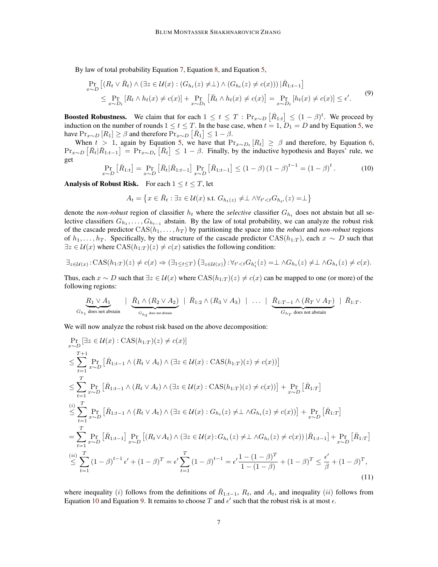By law of total probability Equation [7,](#page-5-1) Equation [8,](#page-5-2) and Equation [5,](#page-5-3)

<span id="page-6-1"></span>
$$
\Pr_{x \sim D} \left[ (R_t \vee \bar{R}_t) \wedge (\exists z \in \mathcal{U}(x) : (G_{h_t}(z) \neq \bot) \wedge (G_{h_t}(z) \neq c(x))) \, | \, \bar{R}_{1:t-1} \right]
$$
\n
$$
\leq \Pr_{x \sim D_t} \left[ R_t \wedge h_t(x) \neq c(x) \right] + \Pr_{x \sim D_t} \left[ \bar{R}_t \wedge h_t(x) \neq c(x) \right] = \Pr_{x \sim D_t} \left[ h_t(x) \neq c(x) \right] \leq \epsilon'. \tag{9}
$$

**Boosted Robustness.** We claim that for each  $1 \le t \le T : Pr_{x \sim D} [\overline{R}_{1:t}] \le (1 - \beta)^t$ . We proceed by induction on the number of rounds  $1 \le t \le T$ . In the base case, when  $t = 1$ ,  $D_1 = D$  and by Equation [5,](#page-5-3) we have  $\Pr_{x \sim D} [R_1] \ge \beta$  and therefore  $\Pr_{x \sim D} [\overline{R}_1] \le 1 - \beta$ .

<span id="page-6-0"></span>When  $t > 1$ , again by Equation [5,](#page-5-3) we have that  $Pr_{x \sim D_t}[R_t] \geq \beta$  and therefore, by Equation [6,](#page-5-0)  $\Pr_{x \sim D} \left[ \bar{R}_t | \bar{R}_{1:t-1} \right] = \Pr_{x \sim D_t} \left[ \bar{R}_t \right] \le 1 - \beta$ . Finally, by the inductive hypothesis and Bayes' rule, we get

$$
\Pr_{x \sim D} \left[ \bar{R}_{1:t} \right] = \Pr_{x \sim D} \left[ \bar{R}_t | \bar{R}_{1:t-1} \right] \Pr_{x \sim D} \left[ \bar{R}_{1:t-1} \right] \le (1 - \beta) (1 - \beta)^{t-1} = (1 - \beta)^t. \tag{10}
$$

Analysis of Robust Risk. For each  $1 \le t \le T$ , let

<span id="page-6-2"></span>
$$
A_t = \left\{ x \in \bar{R}_t : \exists z \in \mathcal{U}(x) \text{ s.t. } G_{h_t(z)} \neq \perp \wedge \forall_{t' < t} G_{h_{t'}}(z) = \perp \right\}
$$

denote the *non-robust* region of classifier  $h_t$  where the *selective* classifier  $G_{h_t}$  does not abstain but all selective classifiers  $G_{h_1}, \ldots, G_{h_{t-1}}$  abstain. By the law of total probability, we can analyze the robust risk of the cascade predictor  $CAS(h_1, \ldots, h_T)$  by partitioning the space into the *robust* and *non-robust* regions of  $h_1, \ldots, h_T$ . Specifically, by the structure of the cascade predictor CAS( $h_{1:T}$ ), each  $x \sim D$  such that  $\exists z \in \mathcal{U}(x)$  where  $\text{CAS}(h_{1:T})(z) \neq c(x)$  satisfies the following condition:

$$
\exists_{z \in \mathcal{U}(x)} \colon \text{CAS}(h_{1:T})(z) \neq c(x) \Rightarrow (\exists_{1 \leq t \leq T}) (\exists_{z \in \mathcal{U}(x)}) \colon \forall_{t' < t} G_{h'_t}(z) = \bot \land G_{h_t}(z) \neq \bot \land G_{h_t}(z) \neq c(x).
$$

Thus, each  $x \sim D$  such that  $\exists z \in \mathcal{U}(x)$  where  $\text{CAS}(h_{1:T})(z) \neq c(x)$  can be mapped to one (or more) of the following regions:

$$
\underbrace{R_1 \vee A_1}_{G_{h_1} \text{ does not abstain }} \mid \underbrace{\bar{R}_1 \wedge (R_2 \vee A_2)}_{G_{h_2} \text{ does not abstain }} \mid \bar{R}_{1:2} \wedge (R_3 \vee A_3) \mid \ldots \mid \underbrace{\bar{R}_{1:T-1} \wedge (R_T \vee A_T)}_{G_{h_T} \text{ does not abstain }} \mid \bar{R}_{1:T}.
$$

We will now analyze the robust risk based on the above decomposition:

$$
\Pr_{x \sim D} \left[ \exists z \in \mathcal{U}(x) : \text{CAS}(h_{1:T})(z) \neq c(x) \right]
$$
\n
$$
\leq \sum_{t=1}^{T+1} \Pr_{x \sim D} \left[ \bar{R}_{1:t-1} \land (R_t \lor A_t) \land (\exists z \in \mathcal{U}(x) : \text{CAS}(h_{1:T})(z) \neq c(x)) \right]
$$
\n
$$
\leq \sum_{t=1}^{T} \Pr_{x \sim D} \left[ \bar{R}_{1:t-1} \land (R_t \lor A_t) \land (\exists z \in \mathcal{U}(x) : \text{CAS}(h_{1:T})(z) \neq c(x)) \right] + \Pr_{x \sim D} \left[ \bar{R}_{1:T} \right]
$$
\n
$$
\leq \sum_{t=1}^{T} \Pr_{x \sim D} \left[ \bar{R}_{1:t-1} \land (R_t \lor A_t) \land (\exists z \in \mathcal{U}(x) : G_{h_t}(z) \neq L \land G_{h_t}(z) \neq c(x)) \right] + \Pr_{x \sim D} \left[ \bar{R}_{1:T} \right]
$$
\n
$$
= \sum_{t=1}^{T} \Pr_{x \sim D} \left[ \bar{R}_{1:t-1} \right] \Pr_{x \sim D} \left[ (R_t \lor A_t) \land (\exists z \in \mathcal{U}(x) : G_{h_t}(z) \neq L \land G_{h_t}(z) \neq c(x)) \mid \bar{R}_{1:t-1} \right] + \Pr_{x \sim D} \left[ \bar{R}_{1:T} \right]
$$
\n
$$
\leq \sum_{t=1}^{(ii)} (1 - \beta)^{t-1} \epsilon' + (1 - \beta)^{T} = \epsilon' \sum_{t=1}^{T} (1 - \beta)^{t-1} = \epsilon' \frac{1 - (1 - \beta)^{T}}{1 - (1 - \beta)} + (1 - \beta)^{T} \leq \frac{\epsilon'}{\beta} + (1 - \beta)^{T}, \tag{11}
$$

where inequality (i) follows from the definitions of  $\bar{R}_{1:t-1}$ ,  $R_t$ , and  $A_t$ , and inequality (ii) follows from Equation [10](#page-6-0) and Equation [9.](#page-6-1) It remains to choose T and  $\epsilon'$  such that the robust risk is at most  $\epsilon$ .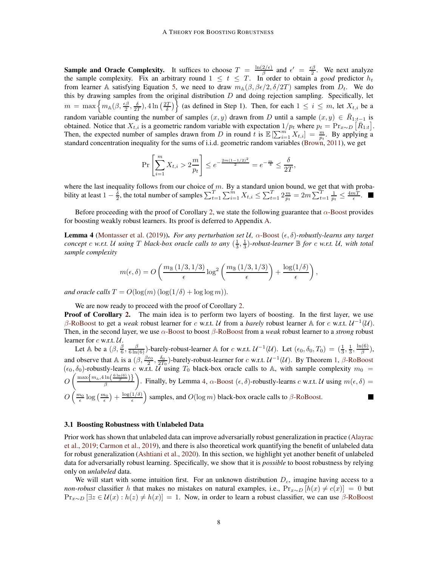**Sample and Oracle Complexity.** It suffices to choose  $T = \frac{\ln(2/\epsilon)}{\beta}$  $\frac{2}{\beta}$  and  $\epsilon' = \frac{\epsilon \beta}{2}$ . We next analyze the sample complexity. Fix an arbitrary round  $1 \leq t \leq T$ . In order to obtain a *good* predictor  $h_t$ from learner A satisfying Equation [5,](#page-5-3) we need to draw  $m_{\mathbb{A}}(\beta, \beta \epsilon/2, \delta/2T)$  samples from  $D_t$ . We do this by drawing samples from the original distribution  $D$  and doing rejection sampling. Specifically, let  $m = \max\left\{m_{\mathbb{A}}(\beta, \frac{\epsilon\beta}{2}, \frac{\delta}{2T}), 4\ln\left(\frac{2T}{\delta}\right)\right\}$  (as defined in Step 1). Then, for each  $1 \le i \le m$ , let  $X_{t,i}$  be a random variable counting the number of samples  $(x, y)$  drawn from D until a sample  $(x, y) \in \overline{R}_{1:t-1}$  is obtained. Notice that  $X_{t,i}$  is a geometric random variable with expectation  $1/p_t$  where  $p_t = \Pr_{x \sim D} [\bar{R}_{1:t}]$ . Then, the expected number of samples drawn from D in round t is  $\mathbb{E}\left[\sum_{i=1}^{m} X_{t,i}\right] = \frac{m}{p_t}$ . By applying a standard concentration inequality for the sums of i.i.d. geometric random variables [\(Brown](#page-13-1), [2011](#page-13-1)), we get

$$
\Pr\left[\sum_{i=1}^{m} X_{t,i} > 2\frac{m}{p_t}\right] \le e^{-\frac{2m(1-1/2)^2}{2}} = e^{-\frac{m}{4}} \le \frac{\delta}{2T},
$$

where the last inequality follows from our choice of  $m$ . By a standard union bound, we get that with probability at least  $1 - \frac{\delta}{2}$ , the total number of samples  $\sum_{t=1}^{T} \sum_{i=1}^{m} X_{t,i} \leq \sum_{t=1}^{T} 2 \frac{m}{p_t} = 2m \sum_{t=1}^{T} \frac{1}{p_t} \leq \frac{4m\tilde{T}}{\epsilon}$ .

Before proceeding with the proof of Corollary [2,](#page-4-1) we state the following guarantee that  $\alpha$ [-Boost](#page-15-0) provides for boosting weakly robust learners. Its proof is deferred to Appendix [A.](#page-15-1)

<span id="page-7-0"></span>**Lemma 4** [\(Montasser et al.](#page-14-0) [\(2019](#page-14-0))). *For any perturbation set*  $U$ ,  $\alpha$ [-Boost](#page-15-0)  $(\epsilon, \delta)$ -robustly-learns any target *concept* c *w.r.t.* U using T black-box oracle calls to any  $(\frac{1}{3}, \frac{1}{3})$ -robust-learner  $\mathbb B$  for c w.r.t. U, with total *sample complexity*

$$
m(\epsilon,\delta) = O\left(\frac{m_{\mathbb{B}}(1/3,1/3)}{\epsilon}\log^2\left(\frac{m_{\mathbb{B}}(1/3,1/3)}{\epsilon}\right) + \frac{\log(1/\delta)}{\epsilon}\right),\,
$$

*and oracle calls*  $T = O(\log(m) (\log(1/\delta) + \log \log m))$ .

We are now ready to proceed with the proof of Corollary [2.](#page-4-1)

**Proof of Corollary [2.](#page-4-1)** The main idea is to perform two layers of boosting. In the first layer, we use  $\beta$ [-RoBoost](#page-3-2) to get a *weak* robust learner for c w.r.t. U from a *barely* robust learner A for c w.r.t.  $U^{-1}(U)$ . Then, in the second layer, we use α[-Boost](#page-15-0) to boost β[-RoBoost](#page-3-2) from a *weak* robust learner to a *strong* robust learner for  $c$  w.r.t.  $U$ .

Let  $\mathbb{A}$  be a  $(\beta, \frac{\beta}{6}, \frac{\beta}{6\ln(6)})$ -barely-robust-learner  $\mathbb{A}$  for c w.r.t.  $\mathcal{U}^{-1}(\mathcal{U})$ . Let  $(\epsilon_0, \delta_0, T_0) = (\frac{1}{3}, \frac{1}{3}, \frac{\ln(6)}{\beta})$  $\frac{\partial}{\partial}$ ), and observe that A is a  $(\beta, \frac{\beta \epsilon_0}{2}, \frac{\delta_0}{2T_0})$ -barely-robust-learner for c w.r.t.  $\mathcal{U}^{-1}(\mathcal{U})$ . By Theorem [1,](#page-4-0)  $\beta$ [-RoBoost](#page-3-2)  $(\epsilon_0, \delta_0)$ -robustly-learns c w.r.t.  $\tilde{U}$  using  $T_0$  black-box oracle calls to A, with sample complexity  $m_0 =$  $O\left(\frac{\max\left\{m_\mathbb{A}, 4\ln\left(\frac{6\ln(6)}{\beta}\right)\right\}}{\beta}\right)$ ). Finally, by Lemma [4,](#page-7-0)  $\alpha$ [-Boost](#page-15-0)  $(\epsilon, \delta)$ -robustly-learns c w.r.t. U using  $m(\epsilon, \delta)$  =  $O\left(\frac{m_0}{\epsilon}\log\left(\frac{m_0}{\epsilon}\right)+\frac{\log(1/\delta)}{\epsilon}\right)$  $\left(\frac{1/\delta}{\epsilon}\right)$  samples, and  $O(\log m)$  black-box oracle calls to  $\beta$ [-RoBoost.](#page-3-2) П

#### <span id="page-7-1"></span>3.1 Boosting Robustness with Unlabeled Data

Prior work has shown that unlabeled data can improve adversarially robust generalization in practice (Alayrac et al., 2019; Carmon et al., 2019), and there is also theoretical work quantifying the benefit of unlabeled data for robust generalization (Ashtiani et al., 2020). In this section, we highlight yet another benefit of unlabeled data for adversarially robust learning. Specifically, we show that it is *possible* to boost robustness by relying only on *unlabeled* data.

We will start with some intuition first. For an unknown distribution  $D<sub>c</sub>$ , imagine having access to a *non-robust* classifier h that makes no mistakes on natural examples, i.e.,  $Pr_{x \sim D} [h(x) \neq c(x)] = 0$  but  $Pr_{x\sim D} [\exists z \in \mathcal{U}(x) : h(z) \neq h(x)] = 1$ . Now, in order to learn a robust classifier, we can use  $\beta$ [-RoBoost](#page-3-2)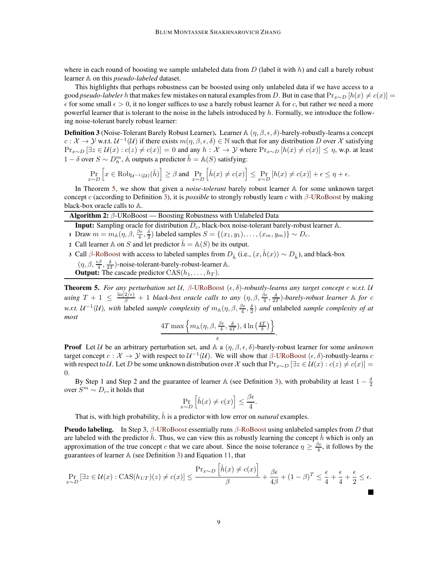where in each round of boosting we sample unlabeled data from D (label it with h) and call a barely robust learner A on this *pseudo-labeled* dataset.

This highlights that perhaps robustness can be boosted using only unlabeled data if we have access to a good *pseudo-labeler* h that makes few mistakes on natural examples from D. But in case that  $Pr_{x\sim D}[h(x) \neq c(x)]$  =  $\epsilon$  for some small  $\epsilon > 0$ , it no longer suffices to use a barely robust learner A for c, but rather we need a more powerful learner that is tolerant to the noise in the labels introduced by  $h$ . Formally, we introduce the following noise-tolerant barely robust learner:

<span id="page-8-2"></span>**Definition 3** (Noise-Tolerant Barely Robust Learner). Learner  $\mathbb{A}(\eta,\beta,\epsilon,\delta)$ -barely-robustly-learns a concept  $c: \mathcal{X} \to \mathcal{Y}$  w.r.t.  $\mathcal{U}^{-1}(\mathcal{U})$  if there exists  $m(\eta, \beta, \epsilon, \delta) \in \mathbb{N}$  such that for any distribution D over X satisfying  $Pr_{x \sim D} [\exists z \in \mathcal{U}(x) : c(z) \neq c(x)] = 0$  and any  $h : \mathcal{X} \to \mathcal{Y}$  where  $Pr_{x \sim D} [h(x) \neq c(x)] \leq \eta$ , w.p. at least 1 –  $\delta$  over  $S \sim D_h^m$ ,  $\mathbb A$  outputs a predictor  $\hat{h} = \mathbb A(S)$  satisfying:

$$
\Pr_{x \sim D} \left[ x \in \text{Rob}_{\mathcal{U}^{-1}(\mathcal{U})}(\hat{h}) \right] \ge \beta \text{ and } \Pr_{x \sim D} \left[ \hat{h}(x) \neq c(x) \right] \le \Pr_{x \sim D} \left[ h(x) \neq c(x) \right] + \epsilon \le \eta + \epsilon.
$$

In Theorem [5,](#page-8-0) we show that given a *noise-tolerant* barely robust learner A for some unknown target concept c (according to Definition [3\)](#page-8-2), it is *possible* to strongly robustly learn c with β[-URoBoost](#page-8-1) by making black-box oracle calls to A.

<span id="page-8-1"></span>

Input: Sampling oracle for distribution  $D_c$ , black-box noise-tolerant barely-robust learner A.

- 1 Draw  $m = m_{\mathbb{A}}(\eta, \beta, \frac{\beta \epsilon}{4}, \frac{\delta}{2})$  labeled samples  $S = \{(x_1, y_1), \dots, (x_m, y_m)\} \sim D_c$ .
- 2 Call learner A on S and let predictor  $\hat{h} = A(S)$  be its output.
- 3 Call β[-RoBoost](#page-3-2) with access to labeled samples from  $D_{\hat{h}}$  (i.e.,  $(x, \hat{h}(x)) \sim D_{\hat{h}}$ ), and black-box  $(\eta, \beta, \frac{\epsilon \beta}{4}, \frac{\delta}{2T})$ -noise-tolerant-barely-robust-learner A. **Output:** The cascade predictor  $CAS(h_1, \ldots, h_T)$ .

<span id="page-8-0"></span>**Theorem 5.** For any perturbation set U,  $\beta$ [-URoBoost](#page-8-1) ( $\epsilon$ , $\delta$ )-robustly-learns any target concept c w.r.t. U  $u\sin g$   $T+1$   $\leq \frac{\ln(2/\epsilon)}{\beta}+1$  black-box oracle calls to any  $(\eta,\beta,\frac{\beta\epsilon}{4},\frac{\delta}{2T})$ -barely-robust learner  $\mathbb A$  for c *w.r.t.*  $U^{-1}(U)$ , with labeled *sample complexity of*  $m_{\mathbb{A}}(\eta,\beta,\frac{\beta\epsilon}{4},\frac{\delta}{2})$  *and* unlabeled *sample complexity of at most*

$$
\frac{4T \max \left\{m_{\mathbb{A}}(\eta, \beta, \frac{\beta \epsilon}{4}, \frac{\delta}{4T}), 4 \ln \left(\frac{4T}{\delta}\right)\right\}}{\epsilon}.
$$

**Proof** Let U be an arbitrary perturbation set, and A a  $(\eta, \beta, \epsilon, \delta)$ -barely-robust learner for some *unknown* target concept  $c: \mathcal{X} \to \mathcal{Y}$  with respect to  $\mathcal{U}^{-1}(\mathcal{U})$ . We will show that  $\beta$ [-URoBoost](#page-8-1)  $(\epsilon, \delta)$ -robustly-learns  $c$ with respect to U. Let D be some unknown distribution over X such that  $Pr_{x\sim D} [\exists z \in U(x) : c(z) \neq c(x)] =$ 0.

By Step 1 and Step 2 and the guarantee of learner A (see Definition [3\)](#page-8-2), with probability at least  $1 - \frac{\delta}{2}$ over  $S^m \sim D_c$ , it holds that

$$
\Pr_{x \sim D} \left[ \hat{h}(x) \neq c(x) \right] \leq \frac{\beta \epsilon}{4}.
$$

That is, with high probability,  $\hat{h}$  is a predictor with low error on *natural* examples.

**Pseudo labeling.** In Step 3,  $\beta$ [-URoBoost](#page-8-1) essentially runs  $\beta$ [-RoBoost](#page-3-2) using unlabeled samples from D that are labeled with the predictor  $\hbar$ . Thus, we can view this as robustly learning the concept  $\hbar$  which is only an approximation of the true concept c that we care about. Since the noise tolerance  $\eta \ge \frac{\beta \epsilon}{4}$ , it follows by the guarantees of learner  $A$  (see Definition [3\)](#page-8-2) and Equation [11,](#page-6-2) that

$$
\Pr_{x \sim D} \left[ \exists z \in \mathcal{U}(x) : \text{CAS}(h_{1:T})(z) \neq c(x) \right] \leq \frac{\Pr_{x \sim D} \left[ \hat{h}(x) \neq c(x) \right]}{\beta} + \frac{\beta \epsilon}{4\beta} + (1 - \beta)^T \leq \frac{\epsilon}{4} + \frac{\epsilon}{4} + \frac{\epsilon}{2} \leq \epsilon.
$$

H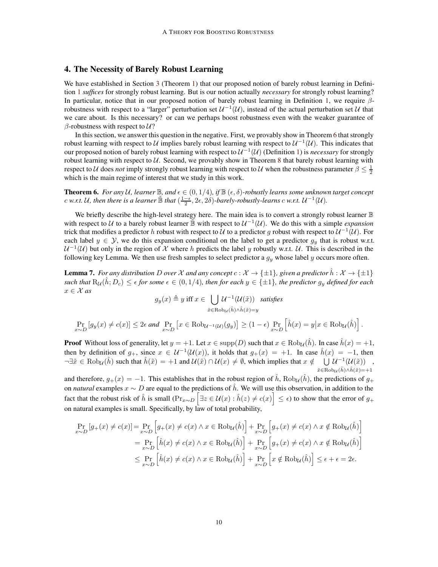## 4. The Necessity of Barely Robust Learning

We have established in Section [3](#page-3-4) (Theorem [1\)](#page-4-0) that our proposed notion of barely robust learning in Definition [1](#page-1-0) *suffices* for strongly robust learning. But is our notion actually *necessary* for strongly robust learning? In particular, notice that in our proposed notion of barely robust learning in Definition [1,](#page-1-0) we require  $\beta$ robustness with respect to a "larger" perturbation set  $U^{-1}(\mathcal{U})$ , instead of the actual perturbation set  $\mathcal U$  that we care about. Is this necessary? or can we perhaps boost robustness even with the weaker guarantee of β-robustness with respect to  $U$ ?

In this section, we answer this question in the negative. First, we provably show in Theorem [6](#page-9-0) that strongly robust learning with respect to  $U$  implies barely robust learning with respect to  $U^{-1}(U)$ . This indicates that our proposed notion of barely robust learning with respect to  $U^{-1}(\mathcal{U})$  (Definition [1\)](#page-1-0) is *necessary* for strongly robust learning with respect to  $U$ . Second, we provably show in Theorem [8](#page-11-0) that barely robust learning with respect to U does *not* imply strongly robust learning with respect to U when the robustness parameter  $\beta \leq \frac{1}{2}$ which is the main regime of interest that we study in this work.

<span id="page-9-0"></span>**Theorem 6.** For any U, learner  $\mathbb{B}$ , and  $\epsilon \in (0, 1/4)$ , if  $\mathbb{B}(\epsilon, \delta)$ -robustly learns some unknown target concept c w.r.t. U, then there is a learner  $\tilde{B}$  that  $(\frac{1-\epsilon}{2},2\epsilon,2\delta)$ -barely-robustly-learns c w.r.t.  $\mathcal{U}^{-1}(\mathcal{U})$ .

We briefly describe the high-level strategy here. The main idea is to convert a strongly robust learner  $\mathbb B$ with respect to U to a barely robust learner  $\mathbb{B}$  with respect to  $U^{-1}(\mathcal{U})$ . We do this with a simple *expansion* trick that modifies a predictor  $h$  robust with respect to  $\cal U$  to a predictor  $g$  robust with respect to  $\cal U^{-1}(U)$ . For each label  $y \in \mathcal{Y}$ , we do this expansion conditional on the label to get a predictor  $g_y$  that is robust w.r.t.  $U^{-1}(U)$  but only in the region of X where h predicts the label y robustly w.r.t. U. This is described in the following key Lemma. We then use fresh samples to select predictor a  $g_y$  whose label y occurs more often.

<span id="page-9-1"></span>**Lemma 7.** *For any distribution* D *over* X *and any concept*  $c : \mathcal{X} \to \{\pm 1\}$ *, given a predictor*  $h : \mathcal{X} \to \{\pm 1\}$ *such that*  $R_u(h; D_c) \leq \epsilon$  *for some*  $\epsilon \in (0, 1/4)$ *, then for each*  $y \in \{\pm 1\}$ *, the predictor*  $g_y$  *defined for each*  $x \in \mathcal{X}$  as

$$
g_y(x) \triangleq y \text{ iff } x \in \bigcup_{\tilde{x} \in \text{Rob}_{\mathcal{U}}(\hat{h}) \land \hat{h}(\tilde{x}) = y} \mathcal{U}^{-1}(\mathcal{U}(\tilde{x})) \text{ satisfies}
$$

$$
\Pr_{x \sim D} \left[ g_y(x) \neq c(x) \right] \leq 2\epsilon \text{ and } \Pr_{x \sim D} \left[ x \in \text{Rob}_{\mathcal{U}^{-1}(\mathcal{U})}(g_y) \right] \geq (1 - \epsilon) \Pr_{x \sim D} \left[ \hat{h}(x) = y \middle| x \in \text{Rob}_{\mathcal{U}}(\hat{h}) \right].
$$

**Proof** Without loss of generality, let  $y = +1$ . Let  $x \in \text{supp}(D)$  such that  $x \in \text{Rob}_{\mathcal{U}}(\hat{h})$ . In case  $\hat{h}(x) = +1$ , then by definition of  $g_+$ , since  $x \in \mathcal{U}^{-1}(\mathcal{U}(x))$ , it holds that  $g_+(x) = +1$ . In case  $\hat{h}(x) = -1$ , then  $\neg \exists \tilde{x} \in \text{Rob}_{\mathcal{U}}(\hat{h})$  such that  $\hat{h}(\tilde{x}) = +1$  and  $\mathcal{U}(\tilde{x}) \cap \mathcal{U}(x) \neq \emptyset$ , which implies that  $x \notin \bigcup \mathcal{U}^{-1}(\mathcal{U}(\tilde{x}))$ ,  $\tilde{x} \in \text{Rob}_{\mathcal{U}}(\hat{h}) \wedge \hat{h}(\tilde{x})=+1$ 

and therefore,  $g_+(x) = -1$ . This establishes that in the robust region of  $\hat{h}$ , Rob<sub>U</sub> $(\hat{h})$ , the predictions of  $g_+$ on *natural* examples  $x \sim D$  are equal to the predictions of  $\hat{h}$ . We will use this observation, in addition to the fact that the robust risk of  $\hat{h}$  is small  $(\Pr_{x \sim D} [\exists z \in \mathcal{U}(x) : \hat{h}(z) \neq c(x)] \leq \epsilon)$  to show that the error of  $g_+$ on natural examples is small. Specifically, by law of total probability,

$$
\Pr_{x \sim D} [g_{+}(x) \neq c(x)] = \Pr_{x \sim D} [g_{+}(x) \neq c(x) \land x \in \text{Rob}_{\mathcal{U}}(\hat{h})] + \Pr_{x \sim D} [g_{+}(x) \neq c(x) \land x \notin \text{Rob}_{\mathcal{U}}(\hat{h})]
$$
\n
$$
= \Pr_{x \sim D} \left[ \hat{h}(x) \neq c(x) \land x \in \text{Rob}_{\mathcal{U}}(\hat{h}) \right] + \Pr_{x \sim D} [g_{+}(x) \neq c(x) \land x \notin \text{Rob}_{\mathcal{U}}(\hat{h})]
$$
\n
$$
\leq \Pr_{x \sim D} \left[ \hat{h}(x) \neq c(x) \land x \in \text{Rob}_{\mathcal{U}}(\hat{h}) \right] + \Pr_{x \sim D} [x \notin \text{Rob}_{\mathcal{U}}(\hat{h})] \leq \epsilon + \epsilon = 2\epsilon.
$$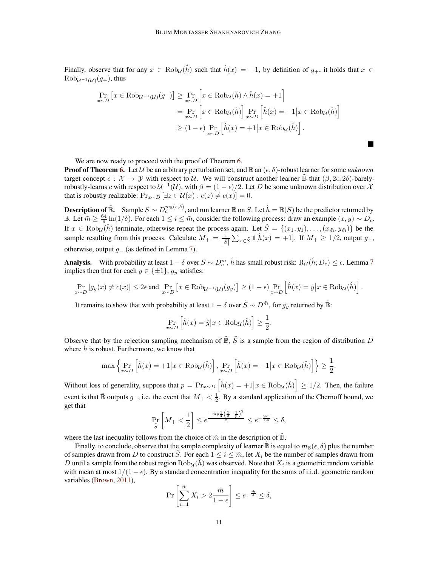Finally, observe that for any  $x \in \text{Rob}_{\mathcal{U}}(\hat{h})$  such that  $\hat{h}(x) = +1$ , by definition of  $q_+$ , it holds that  $x \in$  $Rob_{\mathcal{U}^{-1}(\mathcal{U})}(g_+),$  thus

$$
\Pr_{x \sim D} \left[ x \in \text{Rob}_{\mathcal{U}^{-1}(\mathcal{U})}(g_+) \right] \geq \Pr_{x \sim D} \left[ x \in \text{Rob}_{\mathcal{U}}(\hat{h}) \land \hat{h}(x) = +1 \right]
$$
\n
$$
= \Pr_{x \sim D} \left[ x \in \text{Rob}_{\mathcal{U}}(\hat{h}) \right] \Pr_{x \sim D} \left[ \hat{h}(x) = +1 \middle| x \in \text{Rob}_{\mathcal{U}}(\hat{h}) \right]
$$
\n
$$
\geq (1 - \epsilon) \Pr_{x \sim D} \left[ \hat{h}(x) = +1 \middle| x \in \text{Rob}_{\mathcal{U}}(\hat{h}) \right].
$$

П

We are now ready to proceed with the proof of Theorem [6.](#page-9-0)

**Proof of Theorem [6.](#page-9-0)** Let U be an arbitrary perturbation set, and  $\mathbb{B}$  an  $(\epsilon, \delta)$ -robust learner for some *unknown* target concept  $c : \mathcal{X} \to \mathcal{Y}$  with respect to U. We will construct another learner  $\mathbb{B}$  that  $(\beta, 2\epsilon, 2\delta)$ -barelyrobustly-learns c with respect to  $U^{-1}(U)$ , with  $\beta = (1 - \epsilon)/2$ . Let D be some unknown distribution over X that is robustly realizable:  $Pr_{x \sim D} [\exists z \in \mathcal{U}(x) : c(z) \neq c(x)] = 0.$ 

**Description of**  $\tilde{\mathbb{B}}$ . Sample  $S \sim D_c^{m_{\mathbb{B}}(\epsilon,\delta)}$ , and run learner  $\mathbb{B}$  on  $S$ . Let  $\hat{h} = \mathbb{B}(S)$  be the predictor returned by **B.** Let  $\tilde{m} \geq \frac{64}{9} \ln(1/\delta)$ . For each  $1 \leq i \leq \tilde{m}$ , consider the following process: draw an example  $(x, y) \sim D_c$ . If  $x \in \text{Rob}_{\mathcal{U}}(\hat{h})$  terminate, otherwise repeat the process again. Let  $\tilde{S} = \{(x_1, y_1), \dots, (x_{\tilde{m}}, y_{\tilde{m}})\}\$  be the sample resulting from this process. Calculate  $M_+ = \frac{1}{|\tilde{S}|} \sum_{x \in \tilde{S}} 1 \left[\hat{h}(x) = +1\right]$ . If  $M_+ \geq 1/2$ , output  $g_+$ , otherwise, output  $g_$  (as defined in Lemma [7\)](#page-9-1).

**Analysis.** With probability at least  $1 - \delta$  over  $S \sim D_c^m$ ,  $\hat{h}$  has small robust risk:  $R_{\cal U}(\hat{h}; D_c) \leq \epsilon$ . Lemma [7](#page-9-1) implies then that for each  $y \in {\pm 1}$ ,  $g_y$  satisfies:

$$
\Pr_{x \sim D} \left[ g_y(x) \neq c(x) \right] \leq 2\epsilon \text{ and } \Pr_{x \sim D} \left[ x \in \text{Rob}_{\mathcal{U}^{-1}(\mathcal{U})}(g_y) \right] \geq (1 - \epsilon) \Pr_{x \sim D} \left[ \hat{h}(x) = y \middle| x \in \text{Rob}_{\mathcal{U}}(\hat{h}) \right].
$$

It remains to show that with probability at least  $1-\delta$  over  $\tilde S\sim D^{\tilde m},$  for  $g_{\hat y}$  returned by  $\tilde{\mathbb B}$ :

$$
\Pr_{x \sim D} \left[ \hat{h}(x) = \hat{y} \middle| x \in \text{Rob}_{\mathcal{U}}(\hat{h}) \right] \ge \frac{1}{2}.
$$

Observe that by the rejection sampling mechanism of  $\tilde{\mathbb{B}}$ ,  $\tilde{S}$  is a sample from the region of distribution D where  $h$  is robust. Furthermore, we know that

$$
\max\left\{\Pr_{x \sim D}\left[\hat{h}(x) = +1 | x \in \text{Rob}_{\mathcal{U}}(\hat{h})\right], \Pr_{x \sim D}\left[\hat{h}(x) = -1 | x \in \text{Rob}_{\mathcal{U}}(\hat{h})\right]\right\} \ge \frac{1}{2}.
$$

Without loss of generality, suppose that  $p = \Pr_{x \sim D} \left[ \hat{h}(x) = +1 \big| x \in \text{Rob}_{\mathcal{U}}(\hat{h}) \right] \ge 1/2$ . Then, the failure event is that  $\tilde{B}$  outputs  $g_-,$  i.e. the event that  $M_+ < \frac{1}{2}$ . By a standard application of the Chernoff bound, we get that

$$
\Pr_{\tilde{S}}\left[M_{+}<\frac{1}{2}\right] \leq e^{\frac{-\tilde{m}p\frac{1}{4}\left(\frac{1}{2}-\frac{1}{p}\right)^{2}}{2}} \leq e^{-\frac{9\tilde{m}}{64}} \leq \delta,
$$

where the last inequality follows from the choice of  $\tilde{m}$  in the description of  $\tilde{\mathbb{B}}$ .

Finally, to conclude, observe that the sample complexity of learner  $\mathbb B$  is equal to  $m_{\mathbb B}(\epsilon, \delta)$  plus the number of samples drawn from D to construct S. For each  $1 \le i \le \tilde{m}$ , let  $X_i$  be the number of samples drawn from D until a sample from the robust region  $Rob_{\mathcal{U}}(\hat{h})$  was observed. Note that  $X_i$  is a geometric random variable with mean at most  $1/(1 - \epsilon)$ . By a standard concentration inequality for the sums of i.i.d. geometric random variables [\(Brown](#page-13-1), [2011](#page-13-1)),

$$
\Pr\left[\sum_{i=1}^{\tilde{m}} X_i > 2\frac{\tilde{m}}{1-\epsilon}\right] \le e^{-\frac{\tilde{m}}{4}} \le \delta,
$$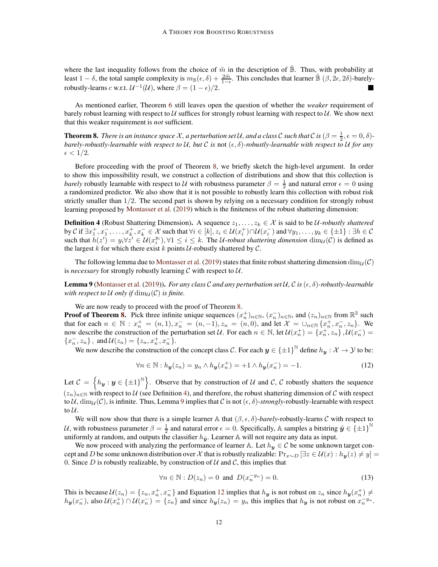where the last inequality follows from the choice of  $\tilde{m}$  in the description of  $\mathbb{B}$ . Thus, with probability at least  $1 - \delta$ , the total sample complexity is  $m_{\mathbb{B}}(\epsilon, \delta) + \frac{2\tilde{m}}{1 - \epsilon}$ . This concludes that learner  $\tilde{\mathbb{B}}(\beta, 2\epsilon, 2\delta)$ -barelyrobustly-learns *c* w.r.t.  $\mathcal{U}^{-1}(\mathcal{U})$ , where  $\beta = (1 - \epsilon)/2$ .

As mentioned earlier, Theorem [6](#page-9-0) still leaves open the question of whether the *weaker* requirement of barely robust learning with respect to  $U$  suffices for strongly robust learning with respect to  $U$ . We show next that this weaker requirement is *not* sufficient.

<span id="page-11-0"></span>**Theorem 8.** *There is an instance space X*, *a perturbation set U*, *and a class* C *such that* C is  $(\beta = \frac{1}{2}, \epsilon = 0, \delta)$ *barely-robustly-learnable with respect to*  $U$ , *but*  $C$  *is* not  $(\epsilon, \delta)$ -robustly-learnable with respect to  $U$  for any  $\epsilon < 1/2$ .

Before proceeding with the proof of Theorem [8,](#page-11-0) we briefly sketch the high-level argument. In order to show this impossibility result, we construct a collection of distributions and show that this collection is *barely* robustly learnable with respect to U with robustness parameter  $\beta = \frac{1}{2}$  and natural error  $\epsilon = 0$  using a randomized predictor. We also show that it is not possible to robustly learn this collection with robust risk strictly smaller than 1/2. The second part is shown by relying on a necessary condition for strongly robust learning proposed by [Montasser et al.](#page-14-0) [\(2019\)](#page-14-0) which is the finiteness of the robust shattering dimension:

<span id="page-11-1"></span>**Definition 4** (Robust Shattering Dimension). A sequence  $z_1, \ldots, z_k \in \mathcal{X}$  is said to be U-robustly shattered by C if  $\exists x_1^+, x_1^-, \ldots, x_k^+, x_k^- \in \mathcal{X}$  such that  $\forall i \in [k], z_i \in \mathcal{U}(x_i^+) \cap \mathcal{U}(x_i^-)$  and  $\forall y_1, \ldots, y_k \in \{\pm 1\} : \exists h \in \mathcal{C}$ such that  $h(z') = y_i \forall z' \in \mathcal{U}(x_i^{y_i}), \forall 1 \le i \le k$ . The U-robust shattering dimension  $\dim_{\mathcal{U}}(\mathcal{C})$  is defined as the largest  $k$  for which there exist  $k$  points  $U$ -robustly shattered by  $C$ .

The following lemma due to [Montasser et al.](#page-14-0) [\(2019](#page-14-0)) states that finite robust shattering dimension  $\dim_{\mathcal{U}}(\mathcal{C})$ is *necessary* for strongly robustly learning  $C$  with respect to  $U$ .

<span id="page-11-2"></span>Lemma 9 [\(Montasser et al.](#page-14-0) [\(2019\)](#page-14-0)). *For any class C and any perturbation set U*, C is  $(\epsilon, \delta)$ -robustly-learnable *with respect to*  $U$  *only if*  $\dim_U(\mathcal{C})$  *is finite.* 

We are now ready to proceed with the proof of Theorem [8.](#page-11-0)

**Proof of Theorem [8.](#page-11-0)** Pick three infinite unique sequences  $(x_n^+)_{n \in \mathbb{N}}$ ,  $(x_n^-)_{n \in \mathbb{N}}$ , and  $(z_n)_{n \in \mathbb{N}}$  from  $\mathbb{R}^2$  such that for each  $n \in \mathbb{N} : x_n^+ = (n, 1), x_n^- = (n, -1), z_n^- = (n, 0)$ , and let  $\mathcal{X} = \bigcup_{n \in \mathbb{N}} \{x_n^+, x_n^-, z_n\}$ . We now describe the construction of the perturbation set U. For each  $n \in \mathbb{N}$ , let  $\mathcal{U}(x_n^+) = \{x_n^+, z_n\}$ ,  $\mathcal{U}(x_n^-) =$  ${x_n^-, z_n}$ , and  $\mathcal{U}(z_n) = \{z_n, x_n^+, x_n^-\}$ .

We now describe the construction of the concept class C. For each  $y \in {\pm 1}^{\mathbb{N}}$  define  $h_y : \mathcal{X} \to \mathcal{Y}$  to be:

<span id="page-11-3"></span>
$$
\forall n \in \mathbb{N}: h_{\mathbf{y}}(z_n) = y_n \wedge h_{\mathbf{y}}(x_n^+) = +1 \wedge h_{\mathbf{y}}(x_n^-) = -1. \tag{12}
$$

Let  $\mathcal{C} = \{h_{\bm{y}} : \bm{y} \in \{\pm 1\}^{\mathbb{N}}\}$ . Observe that by construction of U and C, C robustly shatters the sequence  $(z_n)_{n\in\mathbb{N}}$  with respect to U (see Definition [4\)](#page-11-1), and therefore, the robust shattering dimension of C with respect to U,  $\dim_{\mathcal{U}}(\mathcal{C})$ , is infinite. Thus, Lemma [9](#page-11-2) implies that C is not  $(\epsilon, \delta)$ -strongly-robustly-learnable with respect to  $\mathcal{U}$ .

We will now show that there is a simple learner  $\mathbb A$  that  $(\beta, \epsilon, \delta)$ -*barely*-robustly-learns C with respect to U, with robustness parameter  $\beta = \frac{1}{2}$  and natural error  $\epsilon = 0$ . Specifically, A samples a bitstring  $\tilde{y} \in \{\pm 1\}^{\mathbb{N}}$ uniformly at random, and outputs the classifier  $h_{\tilde{y}}$ . Learner A will not require any data as input.

We now proceed with analyzing the performance of learner A. Let  $h_y \in C$  be some unknown target concept and D be some unknown distribution over X that is robustly realizable:  $Pr_{x\sim D}$  [ $\exists z \in \mathcal{U}(x) : h_y(z) \neq y$ ] = 0. Since D is robustly realizable, by construction of  $U$  and  $C$ , this implies that

<span id="page-11-4"></span>
$$
\forall n \in \mathbb{N}: D(z_n) = 0 \text{ and } D(x_n^{-y_n}) = 0. \tag{13}
$$

This is because  $\mathcal{U}(z_n) = \{z_n, x_n^+, x_n^-\}$  and Equation [12](#page-11-3) implies that  $h_{y}$  is not robust on  $z_n$  since  $h_{y}(x_n^+) \neq$  $h_y(x_n^-)$ , also  $\mathcal{U}(x_n^+) \cap \mathcal{U}(x_n^-) = \{z_n\}$  and since  $h_y(z_n) = y_n$  this implies that  $h_y$  is not robust on  $x_n^{-y_n}$ .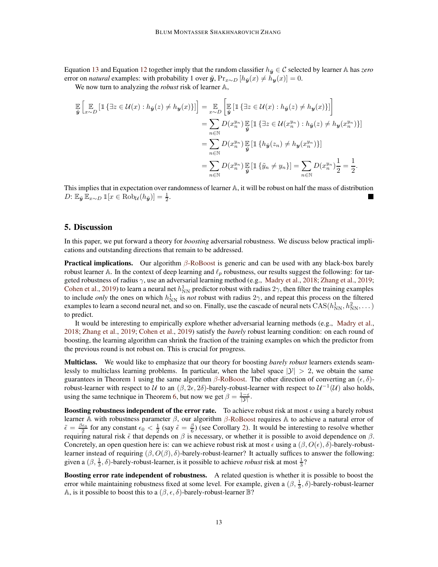Equation [13](#page-11-4) and Equation [12](#page-11-3) together imply that the random classifier  $h_{\tilde{u}} \in \mathcal{C}$  selected by learner A has *zero* error on *natural* examples: with probability 1 over  $\tilde{y}$ , Pr<sub>x∼D</sub>  $[h_{\tilde{y}}(x) \neq h_{y}(x)] = 0$ .

We now turn to analyzing the *robust* risk of learner A,

$$
\mathbb{E}\left[\mathbb{E}_{\mathbf{y}}\left[\mathbb{1}\left\{\exists z\in\mathcal{U}(x):h_{\tilde{\mathbf{y}}}(z)\neq h_{\mathbf{y}}(x)\right\}\right]\right]=\mathbb{E}_{x\sim D}\left[\mathbb{E}\left[\mathbb{1}\left\{\exists z\in\mathcal{U}(x):h_{\tilde{\mathbf{y}}}(z)\neq h_{\mathbf{y}}(x)\right\}\right]\right]
$$
\n
$$
=\sum_{n\in\mathbb{N}}D(x_n^{y_n})\mathbb{E}\left[\mathbb{1}\left\{\exists z\in\mathcal{U}(x_n^{y_n}):h_{\tilde{\mathbf{y}}}(z)\neq h_{\mathbf{y}}(x_n^{y_n})\right\}\right]
$$
\n
$$
=\sum_{n\in\mathbb{N}}D(x_n^{y_n})\mathbb{E}\left[\mathbb{1}\left\{h_{\tilde{\mathbf{y}}}(z_n)\neq h_{\mathbf{y}}(x_n^{y_n})\right\}\right]
$$
\n
$$
=\sum_{n\in\mathbb{N}}D(x_n^{y_n})\mathbb{E}\left[\mathbb{1}\left\{\tilde{y}_n\neq y_n\right\}\right]=\sum_{n\in\mathbb{N}}D(x_n^{y_n})\frac{1}{2}=\frac{1}{2}.
$$

This implies that in expectation over randomness of learner A, it will be robust on half the mass of distribution D:  $\mathbb{E}_{\tilde{\mathbf{y}}} \mathbb{E}_{x \sim D} \mathbb{1}[x \in \text{Rob}_{\mathcal{U}}(h_{\tilde{\mathbf{y}}})] = \frac{1}{2}.$ 

### <span id="page-12-0"></span>5. Discussion

In this paper, we put forward a theory for *boosting* adversarial robustness. We discuss below practical implications and outstanding directions that remain to be addressed.

**Practical implications.** Our algorithm  $\beta$ [-RoBoost](#page-3-2) is generic and can be used with any black-box barely robust learner A. In the context of deep learning and  $\ell_p$  robustness, our results suggest the following: for targeted robustness of radius  $\gamma$ , use an adversarial learning method (e.g., Madry et al., 2018; Zhang et al., 2019; Cohen et al., 2019) to learn a neural net  $h_{NN}^1$  predictor robust with radius  $2\gamma$ , then filter the training examples to include *only* the ones on which  $h_{NN}^1$  is *not* robust with radius  $2\gamma$ , and repeat this process on the filtered examples to learn a second neural net, and so on. Finally, use the cascade of neural nets  $\rm CAS({\it h_{NN}^{1}},{\it h_{NN}^{2}},\dots)$ to predict.

It would be interesting to empirically explore whether adversarial learning methods (e.g., Madry et al., 2018; Zhang et al., 2019; Cohen et al., 2019) satisfy the *barely* robust learning condition: on each round of boosting, the learning algorithm can shrink the fraction of the training examples on which the predictor from the previous round is not robust on. This is crucial for progress.

Multiclass. We would like to emphasize that our theory for boosting *barely robust* learners extends seamlessly to multiclass learning problems. In particular, when the label space  $|\mathcal{Y}| > 2$ , we obtain the same guarantees in Theorem [1](#page-4-0) using the same algorithm  $β$ [-RoBoost.](#page-3-2) The other direction of converting an  $(ε, δ)$ robust-learner with respect to U to an  $(\beta, 2\epsilon, 2\delta)$ -barely-robust-learner with respect to  $\mathcal{U}^{-1}(\mathcal{U})$  also holds, using the same technique in Theorem [6,](#page-9-0) but now we get  $\beta = \frac{1-\epsilon}{|\mathcal{Y}|}$ .

Boosting robustness independent of the error rate. To achieve robust risk at most  $\epsilon$  using a barely robust learner A with robustness parameter  $\beta$ , our algorithm  $\beta$ [-RoBoost](#page-3-2) requires A to achieve a natural error of  $\tilde{\epsilon} = \frac{\beta \epsilon_0}{2}$  for any constant  $\epsilon_0 < \frac{1}{2}$  (say  $\tilde{\epsilon} = \frac{\beta}{6}$ ) (see Corollary [2\)](#page-4-1). It would be interesting to resolve whether requiring natural risk  $\tilde{\epsilon}$  that depends on  $\beta$  is necessary, or whether it is possible to avoid dependence on  $\beta$ . Concretely, an open question here is: can we achieve robust risk at most  $\epsilon$  using a  $(\beta, O(\epsilon), \delta)$ -barely-robustlearner instead of requiring  $(β, O(β), δ)$ -barely-robust-learner? It actually suffices to answer the following: given a  $(\beta, \frac{1}{3}, \delta)$ -barely-robust-learner, is it possible to achieve *robust* risk at most  $\frac{1}{3}$ ?

Boosting error rate independent of robustness. A related question is whether it is possible to boost the error while maintaining robustness fixed at some level. For example, given a  $(\beta, \frac{1}{3}, \delta)$ -barely-robust-learner A, is it possible to boost this to a  $(\beta, \epsilon, \delta)$ -barely-robust-learner  $\mathbb{B}$ ?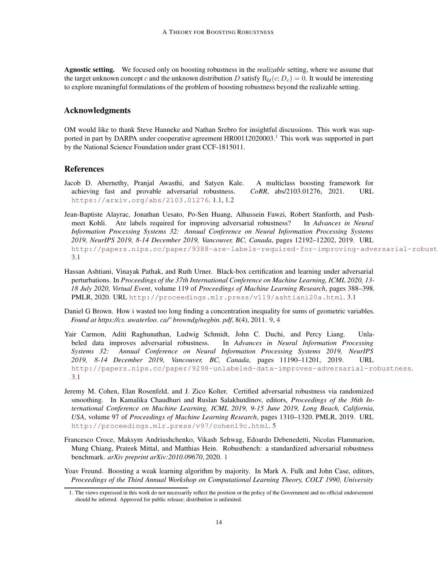Agnostic setting. We focused only on boosting robustness in the *realizable* setting, where we assume that the target unknown concept c and the unknown distribution D satisfy  $R_U(c; D_c) = 0$ . It would be interesting to explore meaningful formulations of the problem of boosting robustness beyond the realizable setting.

## Acknowledgments

OM would like to thank Steve Hanneke and Nathan Srebro for insightful discussions. This work was sup-ported in part by DARPA under cooperative agreement HR00[1](#page-13-2)12020003.<sup>1</sup> This work was supported in part by the National Science Foundation under grant CCF-1815011.

## References

- Jacob D. Abernethy, Pranjal Awasthi, and Satyen Kale. A multiclass boosting framework for achieving fast and provable adversarial robustness. *CoRR*, abs/2103.01276, 2021. URL <https://arxiv.org/abs/2103.01276>. [1.1,](#page-1-1) [1.2](#page-2-0)
- Jean-Baptiste Alayrac, Jonathan Uesato, Po-Sen Huang, Alhussein Fawzi, Robert Stanforth, and Pushmeet Kohli. Are labels required for improving adversarial robustness? In *Advances in Neural Information Processing Systems 32: Annual Conference on Neural Information Processing Systems 2019, NeurIPS 2019, 8-14 December 2019, Vancouver, BC, Canada*, pages 12192–12202, 2019. URL http://papers.nips.cc/paper/9388-are-labels-required-for-improving-adversarial-robust [3.1](#page-7-1)
- Hassan Ashtiani, Vinayak Pathak, and Ruth Urner. Black-box certification and learning under adversarial perturbations. In *Proceedings of the 37th International Conference on Machine Learning, ICML 2020, 13- 18 July 2020, Virtual Event*, volume 119 of *Proceedings of Machine Learning Research*, pages 388–398. PMLR, 2020. URL <http://proceedings.mlr.press/v119/ashtiani20a.html>. [3.1](#page-7-1)
- <span id="page-13-1"></span>Daniel G Brown. How i wasted too long finding a concentration inequality for sums of geometric variables. *Found at https://cs. uwaterloo. ca/˜ browndg/negbin. pdf*, 8(4), 2011. [9,](#page-6-2) [4](#page-9-1)
- Yair Carmon, Aditi Raghunathan, Ludwig Schmidt, John C. Duchi, and Percy Liang. Unlabeled data improves adversarial robustness. In *Advances in Neural Information Processing Systems 32: Annual Conference on Neural Information Processing Systems 2019, NeurIPS 2019, 8-14 December 2019, Vancouver, BC, Canada*, pages 11190–11201, 2019. URL <http://papers.nips.cc/paper/9298-unlabeled-data-improves-adversarial-robustness>. [3.1](#page-7-1)
- Jeremy M. Cohen, Elan Rosenfeld, and J. Zico Kolter. Certified adversarial robustness via randomized smoothing. In Kamalika Chaudhuri and Ruslan Salakhutdinov, editors, *Proceedings of the 36th International Conference on Machine Learning, ICML 2019, 9-15 June 2019, Long Beach, California, USA*, volume 97 of *Proceedings of Machine Learning Research*, pages 1310–1320. PMLR, 2019. URL <http://proceedings.mlr.press/v97/cohen19c.html>. [5](#page-12-0)
- <span id="page-13-0"></span>Francesco Croce, Maksym Andriushchenko, Vikash Sehwag, Edoardo Debenedetti, Nicolas Flammarion, Mung Chiang, Prateek Mittal, and Matthias Hein. Robustbench: a standardized adversarial robustness benchmark. *arXiv preprint arXiv:2010.09670*, 2020. [1](#page-0-0)

Yoav Freund. Boosting a weak learning algorithm by majority. In Mark A. Fulk and John Case, editors, *Proceedings of the Third Annual Workshop on Computational Learning Theory, COLT 1990, University*

<span id="page-13-2"></span><sup>1.</sup> The views expressed in this work do not necessarily reflect the position or the policy of the Government and no official endorsement should be inferred. Approved for public release; distribution is unlimited.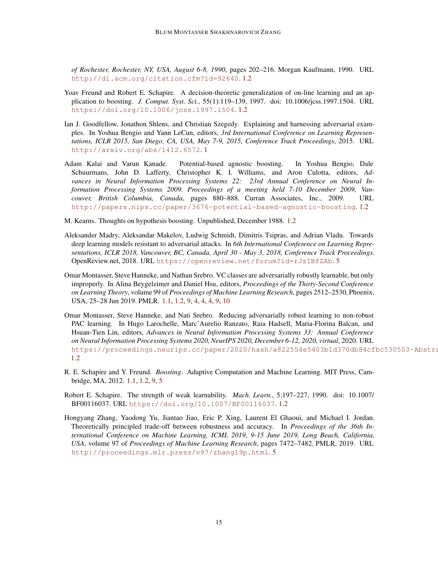*of Rochester, Rochester, NY, USA, August 6-8, 1990*, pages 202–216. Morgan Kaufmann, 1990. URL <http://dl.acm.org/citation.cfm?id=92640>. [1.2](#page-2-0)

- Yoav Freund and Robert E. Schapire. A decision-theoretic generalization of on-line learning and an application to boosting. *J. Comput. Syst. Sci.*, 55(1):119–139, 1997. doi: 10.1006/jcss.1997.1504. URL <https://doi.org/10.1006/jcss.1997.1504>. [1.2](#page-2-0)
- Ian J. Goodfellow, Jonathon Shlens, and Christian Szegedy. Explaining and harnessing adversarial examples. In Yoshua Bengio and Yann LeCun, editors, *3rd International Conference on Learning Representations, ICLR 2015, San Diego, CA, USA, May 7-9, 2015, Conference Track Proceedings*, 2015. URL <http://arxiv.org/abs/1412.6572>. [1](#page-0-1)
- Adam Kalai and Varun Kanade. Potential-based agnostic boosting. In Yoshua Bengio, Dale Schuurmans, John D. Lafferty, Christopher K. I. Williams, and Aron Culotta, editors, *Advances in Neural Information Processing Systems 22: 23rd Annual Conference on Neural Information Processing Systems 2009. Proceedings of a meeting held 7-10 December 2009, Vancouver, British Columbia, Canada*, pages 880–888. Curran Associates, Inc., 2009. URL <http://papers.nips.cc/paper/3676-potential-based-agnostic-boosting>. [1.2](#page-2-0)
- <span id="page-14-2"></span>M. Kearns. Thoughts on hypothesis boosting. Unpublished, December 1988. [1.2](#page-2-0)
- Aleksander Madry, Aleksandar Makelov, Ludwig Schmidt, Dimitris Tsipras, and Adrian Vladu. Towards deep learning models resistant to adversarial attacks. In *6th International Conference on Learning Representations, ICLR 2018, Vancouver, BC, Canada, April 30 - May 3, 2018, Conference Track Proceedings*. OpenReview.net, 2018. URL <https://openreview.net/forum?id=rJzIBfZAb>. [5](#page-12-0)
- <span id="page-14-0"></span>Omar Montasser, Steve Hanneke, and Nathan Srebro. VC classes are adversarially robustly learnable, but only improperly. In Alina Beygelzimer and Daniel Hsu, editors, *Proceedings of the Thirty-Second Conference on Learning Theory*, volume 99 of *Proceedings of Machine Learning Research*, pages 2512–2530, Phoenix, USA, 25–28 Jun 2019. PMLR. [1.1,](#page-1-1) [1.2,](#page-2-0) [9,](#page-4-0) [4,](#page-7-0) [4,](#page-11-0) [4,](#page-11-1) [9,](#page-11-2) [10](#page-15-2)
- Omar Montasser, Steve Hanneke, and Nati Srebro. Reducing adversarially robust learning to non-robust PAC learning. In Hugo Larochelle, Marc'Aurelio Ranzato, Raia Hadsell, Maria-Florina Balcan, and Hsuan-Tien Lin, editors, *Advances in Neural Information Processing Systems 33: Annual Conference on Neural Information Processing Systems 2020, NeurIPS 2020, December 6-12, 2020, virtual*, 2020. URL https://proceedings.neurips.cc/paper/2020/hash/a822554e5403b1d370db84cfbc530503-Abstra [1.2](#page-2-0)
- <span id="page-14-1"></span>R. E. Schapire and Y. Freund. *Boosting*. Adaptive Computation and Machine Learning. MIT Press, Cambridge, MA, 2012. [1.1,](#page-1-1) [1.2,](#page-2-0) [9,](#page-4-0) [5](#page-15-2)
- Robert E. Schapire. The strength of weak learnability. *Mach. Learn.*, 5:197–227, 1990. doi: 10.1007/ BF00116037. URL <https://doi.org/10.1007/BF00116037>. [1.2](#page-2-0)
- Hongyang Zhang, Yaodong Yu, Jiantao Jiao, Eric P. Xing, Laurent El Ghaoui, and Michael I. Jordan. Theoretically principled trade-off between robustness and accuracy. In *Proceedings of the 36th International Conference on Machine Learning, ICML 2019, 9-15 June 2019, Long Beach, California, USA*, volume 97 of *Proceedings of Machine Learning Research*, pages 7472–7482. PMLR, 2019. URL <http://proceedings.mlr.press/v97/zhang19p.html>. [5](#page-12-0)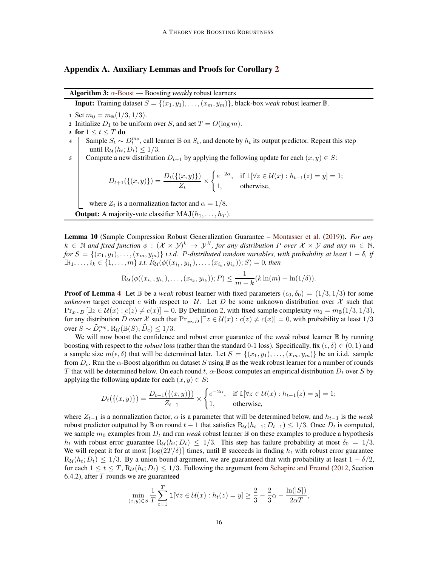## <span id="page-15-1"></span>Appendix A. Auxiliary Lemmas and Proofs for Corollary [2](#page-4-1)

<span id="page-15-0"></span>**Algorithm 3:**  $\alpha$ [-Boost](#page-15-0) — Boosting *weakly* robust learners

**Input:** Training dataset  $S = \{(x_1, y_1), \ldots, (x_m, y_m)\}\$ , black-box *weak* robust learner  $\mathbb{B}$ .

- 1 Set  $m_0 = m_{\mathbb{B}}(1/3, 1/3)$ .
- 2 Initialize  $D_1$  to be uniform over S, and set  $T = O(\log m)$ .
- 3 for  $1 \le t \le T$  do
- 4 Sample  $S_t \sim D_t^{m_0}$ , call learner  $\mathbb B$  on  $S_t$ , and denote by  $h_t$  its output predictor. Repeat this step until  $R_U(h_t; D_t) \leq 1/3$ .
- 5 Compute a new distribution  $D_{t+1}$  by applying the following update for each  $(x, y) \in S$ :

$$
D_{t+1}(\{(x,y)\}) = \frac{D_t(\{(x,y)\})}{Z_t} \times \begin{cases} e^{-2\alpha}, & \text{if } \mathbb{1}[\forall z \in \mathcal{U}(x) : h_{t-1}(z) = y] = 1; \\ 1, & \text{otherwise,} \end{cases}
$$

where  $Z_t$  is a normalization factor and  $\alpha = 1/8$ .

**Output:** A majority-vote classifier  $MAJ(h_1, \ldots, h_T)$ .

<span id="page-15-2"></span>Lemma 10 (Sample Compression Robust Generalization Guarantee – [Montasser et al.](#page-14-0) [\(2019](#page-14-0))). *For any*  $k \in \mathbb{N}$  and fixed function  $\phi : (\mathcal{X} \times \mathcal{Y})^k \to \mathcal{Y}^{\mathcal{X}}$ , for any distribution P over  $\mathcal{X} \times \mathcal{Y}$  and any  $m \in \mathbb{N}$ ,  $for S = \{(x_1, y_1), \ldots, (x_m, y_m)\}\$ *i.i.d.* P-distributed random variables, with probability at least  $1 - \delta$ *, if*  $\exists i_1, \ldots, i_k \in \{1, \ldots, m\}$  s.t.  $\hat{R}_{\mathcal{U}}(\phi((x_{i_1}, y_{i_1}), \ldots, (x_{i_k}, y_{i_k})); S) = 0$ , then

$$
R_{\mathcal{U}}(\phi((x_{i_1}, y_{i_1}), \ldots, (x_{i_k}, y_{i_k})); P) \leq \frac{1}{m-k}(k \ln(m) + \ln(1/\delta)).
$$

**Proof of Lemma [4](#page-7-0)** Let  $\mathbb B$  be a *weak* robust learner with fixed parameters  $(\epsilon_0, \delta_0) = (1/3, 1/3)$  for some *unknown* target concept c with respect to U. Let D be some unknown distribution over X such that  $Pr_{x \sim D}$  [∃z ∈  $U(x)$  :  $c(z) \neq c(x)$ ] = 0. By Definition [2,](#page-3-1) with fixed sample complexity  $m_0 = m_B(1/3, 1/3)$ , for any distribution D over X such that  $Pr_{x\sim D}$  [∃z ∈  $\mathcal{U}(x): c(z) \neq c(x)$ ] = 0, with probability at least 1/3 over  $S \sim \tilde{D}_c^{m_0}, \text{R}_{\mathcal{U}}(\mathbb{B}(S); \tilde{D}_c) \leq 1/3.$ 

We will now boost the confidence and robust error guarantee of the *weak* robust learner  $\mathbb B$  by running boosting with respect to the *robust* loss (rather than the standard 0-1 loss). Specifically, fix  $(\epsilon, \delta) \in (0, 1)$  and a sample size  $m(\epsilon, \delta)$  that will be determined later. Let  $S = \{(x_1, y_1), \ldots, (x_m, y_m)\}\$  be an i.i.d. sample from  $D_c$ . Run the  $\alpha$ -Boost algorithm on dataset S using  $\mathbb B$  as the weak robust learner for a number of rounds T that will be determined below. On each round t,  $\alpha$ -Boost computes an empirical distribution  $D_t$  over S by applying the following update for each  $(x, y) \in S$ :

$$
D_t(\{(x,y)\}) = \frac{D_{t-1}(\{(x,y)\})}{Z_{t-1}} \times \begin{cases} e^{-2\alpha}, & \text{if } \mathbb{1}[\forall z \in \mathcal{U}(x) : h_{t-1}(z) = y] = 1; \\ 1, & \text{otherwise,} \end{cases}
$$

where  $Z_{t-1}$  is a normalization factor,  $\alpha$  is a parameter that will be determined below, and  $h_{t-1}$  is the *weak* robust predictor outputted by B on round  $t-1$  that satisfies  $R_U(h_{t-1}; D_{t-1}) \leq 1/3$ . Once  $D_t$  is computed, we sample  $m_0$  examples from  $D_t$  and run *weak* robust learner  $\mathbb B$  on these examples to produce a hypothesis  $h_t$  with robust error guarantee  $R_U(h_t; D_t) \leq 1/3$ . This step has failure probability at most  $\delta_0 = 1/3$ . We will repeat it for at most  $\lceil \log(2T/\delta) \rceil$  times, until B succeeds in finding  $h_t$  with robust error guarantee  $\text{R}_{\mathcal{U}}(h_t; D_t) \leq 1/3$ . By a union bound argument, we are guaranteed that with probability at least  $1 - \delta/2$ , for each  $1 \le t \le T$ ,  $R_u(h_t; D_t) \le 1/3$ . Following the argument from [Schapire and Freund](#page-14-1) [\(2012](#page-14-1), Section  $6.4.2$ ), after T rounds we are guaranteed

$$
\min_{(x,y)\in S} \frac{1}{T} \sum_{t=1}^T \mathbb{1}[\forall z \in \mathcal{U}(x) : h_t(z) = y] \ge \frac{2}{3} - \frac{2}{3}\alpha - \frac{\ln(|S|)}{2\alpha T},
$$